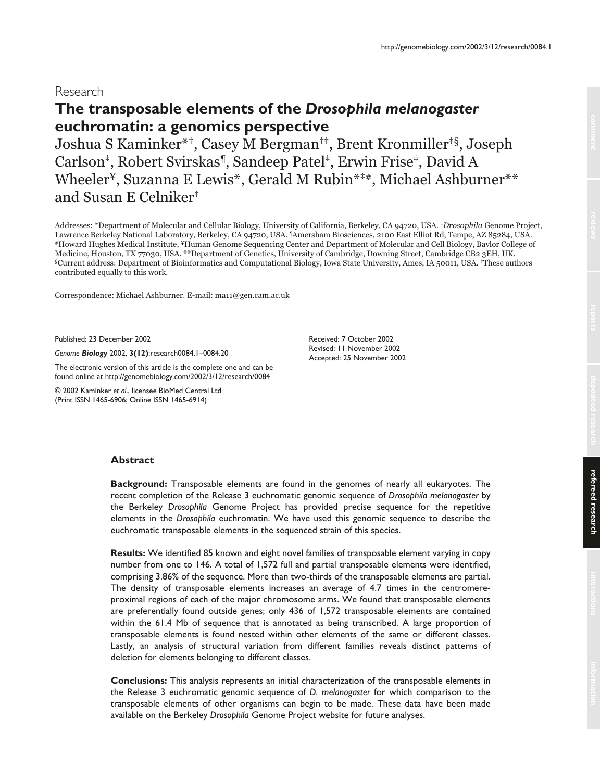# Research

# **The transposable elements of the** *Drosophila melanogaster* **euchromatin: a genomics perspective**

Joshua S Kaminker\*†, Casey M Bergman†‡, Brent Kronmiller‡§, Joseph Carlson‡, Robert Svirskas¶, Sandeep Patel‡, Erwin Frise‡, David A Wheeler<sup>¥</sup>, Suzanna E Lewis\*, Gerald M Rubin<sup>\*‡#</sup>, Michael Ashburner<sup>\*\*</sup> and Susan E Celniker‡

Addresses: \*Department of Molecular and Cellular Biology, University of California, Berkeley, CA 94720, USA. *\*Drosophila* Genome Project, Lawrence Berkeley National Laboratory, Berkeley, CA 94720, USA. <sup>1</sup>Amersham Biosciences, 2100 East Elliot Rd, Tempe, AZ 85284, USA. #Howard Hughes Medical Institute, ¥Human Genome Sequencing Center and Department of Molecular and Cell Biology, Baylor College of Medicine, Houston, TX 77030, USA. \*\*Department of Genetics, University of Cambridge, Downing Street, Cambridge CB2 3EH, UK. §Current address: Department of Bioinformatics and Computational Biology, Iowa State University, Ames, IA 50011, USA. †These authors contributed equally to this work.

Correspondence: Michael Ashburner. E-mail: ma11@gen.cam.ac.uk

Published: 23 December 2002

*Genome Biology* 2002, **3(12)**:research0084.1–0084.20

The electronic version of this article is the complete one and can be found online at http://genomebiology.com/2002/3/12/research/0084

© 2002 Kaminker *et al*., licensee BioMed Central Ltd (Print ISSN 1465-6906; Online ISSN 1465-6914)

Received: 7 October 2002 Revised: 11 November 2002 Accepted: 25 November 2002

# **Abstract**

**Background:** Transposable elements are found in the genomes of nearly all eukaryotes. The recent completion of the Release 3 euchromatic genomic sequence of *Drosophila melanogaster* by the Berkeley *Drosophila* Genome Project has provided precise sequence for the repetitive elements in the *Drosophila* euchromatin. We have used this genomic sequence to describe the euchromatic transposable elements in the sequenced strain of this species.

**Results:** We identified 85 known and eight novel families of transposable element varying in copy number from one to 146. A total of 1,572 full and partial transposable elements were identified, comprising 3.86% of the sequence. More than two-thirds of the transposable elements are partial. The density of transposable elements increases an average of 4.7 times in the centromereproximal regions of each of the major chromosome arms. We found that transposable elements are preferentially found outside genes; only 436 of 1,572 transposable elements are contained within the 61.4 Mb of sequence that is annotated as being transcribed. A large proportion of transposable elements is found nested within other elements of the same or different classes. Lastly, an analysis of structural variation from different families reveals distinct patterns of deletion for elements belonging to different classes.

**Conclusions:** This analysis represents an initial characterization of the transposable elements in the Release 3 euchromatic genomic sequence of *D. melanogaster* for which comparison to the transposable elements of other organisms can begin to be made. These data have been made available on the Berkeley *Drosophila* Genome Project website for future analyses.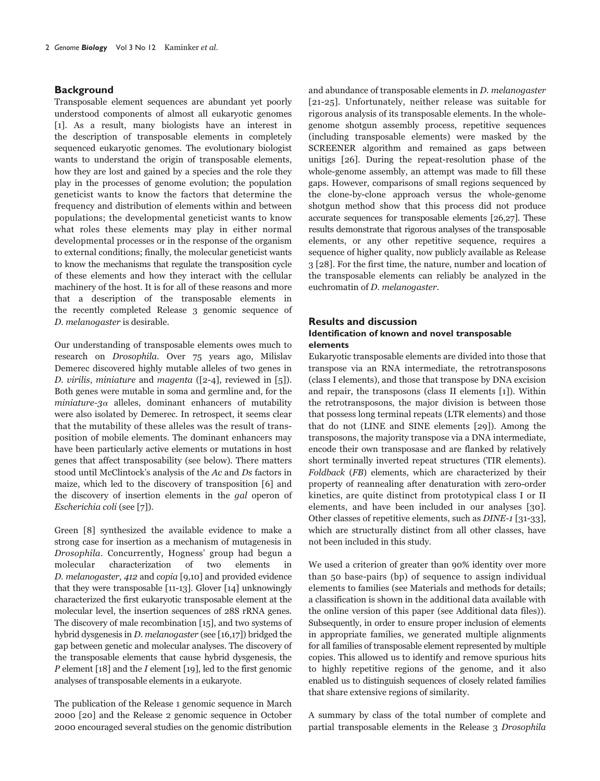# **Background**

Transposable element sequences are abundant yet poorly understood components of almost all eukaryotic genomes [1]. As a result, many biologists have an interest in the description of transposable elements in completely sequenced eukaryotic genomes. The evolutionary biologist wants to understand the origin of transposable elements, how they are lost and gained by a species and the role they play in the processes of genome evolution; the population geneticist wants to know the factors that determine the frequency and distribution of elements within and between populations; the developmental geneticist wants to know what roles these elements may play in either normal developmental processes or in the response of the organism to external conditions; finally, the molecular geneticist wants to know the mechanisms that regulate the transposition cycle of these elements and how they interact with the cellular machinery of the host. It is for all of these reasons and more that a description of the transposable elements in the recently completed Release 3 genomic sequence of D. melanogaster is desirable.

Our understanding of transposable elements owes much to research on Drosophila. Over 75 years ago, Milislav Demerec discovered highly mutable alleles of two genes in D. virilis, miniature and magenta ([2-4], reviewed in [5]). Both genes were mutable in soma and germline and, for the miniature-3 $\alpha$  alleles, dominant enhancers of mutability were also isolated by Demerec. In retrospect, it seems clear that the mutability of these alleles was the result of transposition of mobile elements. The dominant enhancers may have been particularly active elements or mutations in host genes that affect transposability (see below). There matters stood until McClintock's analysis of the Ac and Ds factors in maize, which led to the discovery of transposition [6] and the discovery of insertion elements in the gal operon of Escherichia coli (see [7]).

Green [8] synthesized the available evidence to make a strong case for insertion as a mechanism of mutagenesis in Drosophila. Concurrently, Hogness' group had begun a molecular characterization of two elements in D. melanogaster, 412 and copia [9,10] and provided evidence that they were transposable [11-13]. Glover [14] unknowingly characterized the first eukaryotic transposable element at the molecular level, the insertion sequences of 28S rRNA genes. The discovery of male recombination [15], and two systems of hybrid dysgenesis in D. melanogaster (see [16,17]) bridged the gap between genetic and molecular analyses. The discovery of the transposable elements that cause hybrid dysgenesis, the  $P$  element [18] and the  $I$  element [19], led to the first genomic analyses of transposable elements in a eukaryote.

The publication of the Release 1 genomic sequence in March 2000 [20] and the Release 2 genomic sequence in October 2000 encouraged several studies on the genomic distribution

and abundance of transposable elements in D. melanogaster [21-25]. Unfortunately, neither release was suitable for rigorous analysis of its transposable elements. In the wholegenome shotgun assembly process, repetitive sequences (including transposable elements) were masked by the SCREENER algorithm and remained as gaps between unitigs [26]. During the repeat-resolution phase of the whole-genome assembly, an attempt was made to fill these gaps. However, comparisons of small regions sequenced by the clone-by-clone approach versus the whole-genome shotgun method show that this process did not produce accurate sequences for transposable elements [26,27]. These results demonstrate that rigorous analyses of the transposable elements, or any other repetitive sequence, requires a sequence of higher quality, now publicly available as Release 3 [28]. For the first time, the nature, number and location of the transposable elements can reliably be analyzed in the euchromatin of D. melanogaster.

# **Results and discussion**

# **Identification of known and novel transposable elements**

Eukaryotic transposable elements are divided into those that transpose via an RNA intermediate, the retrotransposons (class I elements), and those that transpose by DNA excision and repair, the transposons (class II elements [1]). Within the retrotransposons, the major division is between those that possess long terminal repeats (LTR elements) and those that do not (LINE and SINE elements [29]). Among the transposons, the majority transpose via a DNA intermediate, encode their own transposase and are flanked by relatively short terminally inverted repeat structures (TIR elements). Foldback (FB) elements, which are characterized by their property of reannealing after denaturation with zero-order kinetics, are quite distinct from prototypical class I or II elements, and have been included in our analyses [30]. Other classes of repetitive elements, such as DINE-1 [31-33], which are structurally distinct from all other classes, have not been included in this study.

We used a criterion of greater than 90% identity over more than 50 base-pairs (bp) of sequence to assign individual elements to families (see Materials and methods for details; a classification is shown in the additional data available with the online version of this paper (see Additional data files)). Subsequently, in order to ensure proper inclusion of elements in appropriate families, we generated multiple alignments for all families of transposable element represented by multiple copies. This allowed us to identify and remove spurious hits to highly repetitive regions of the genome, and it also enabled us to distinguish sequences of closely related families that share extensive regions of similarity.

A summary by class of the total number of complete and partial transposable elements in the Release 3 Drosophila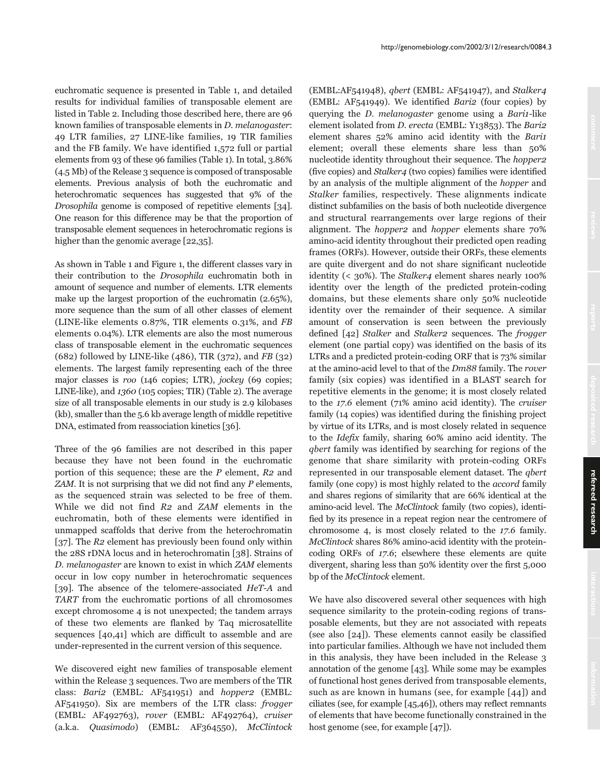euchromatic sequence is presented in Table 1, and detailed results for individual families of transposable element are listed in Table 2. Including those described here, there are 96 known families of transposable elements in D. melanogaster: 49 LTR families, 27 LINE-like families, 19 TIR families and the FB family. We have identified 1,572 full or partial elements from 93 of these 96 families (Table 1). In total, 3.86% (4.5 Mb) of the Release 3 sequence is composed of transposable elements. Previous analysis of both the euchromatic and heterochromatic sequences has suggested that 9% of the Drosophila genome is composed of repetitive elements [34]. One reason for this difference may be that the proportion of transposable element sequences in heterochromatic regions is higher than the genomic average [22,35].

As shown in Table 1 and Figure 1, the different classes vary in their contribution to the Drosophila euchromatin both in amount of sequence and number of elements. LTR elements make up the largest proportion of the euchromatin (2.65%), more sequence than the sum of all other classes of element (LINE-like elements 0.87%, TIR elements 0.31%, and FB elements 0.04%). LTR elements are also the most numerous class of transposable element in the euchromatic sequences (682) followed by LINE-like (486), TIR (372), and  $FB$  (32) elements. The largest family representing each of the three major classes is *roo* (146 copies; LTR), *jockey* (69 copies; LINE-like), and 1360 (105 copies; TIR) (Table 2). The average size of all transposable elements in our study is 2.9 kilobases (kb), smaller than the 5.6 kb average length of middle repetitive DNA, estimated from reassociation kinetics [36].

Three of the 96 families are not described in this paper because they have not been found in the euchromatic portion of this sequence; these are the  $P$  element,  $R2$  and  $ZAM$ . It is not surprising that we did not find any  $P$  elements, as the sequenced strain was selected to be free of them. While we did not find R2 and ZAM elements in the euchromatin, both of these elements were identified in unmapped scaffolds that derive from the heterochromatin [37]. The R2 element has previously been found only within the 28S rDNA locus and in heterochromatin [38]. Strains of D. melanogaster are known to exist in which ZAM elements occur in low copy number in heterochromatic sequences [39]. The absence of the telomere-associated HeT-A and TART from the euchromatic portions of all chromosomes except chromosome 4 is not unexpected; the tandem arrays of these two elements are flanked by Taq microsatellite sequences [40,41] which are difficult to assemble and are under-represented in the current version of this sequence.

We discovered eight new families of transposable element within the Release 3 sequences. Two are members of the TIR class: Bari2 (EMBL: AF541951) and hopper2 (EMBL: AF541950). Six are members of the LTR class: frogger (EMBL: AF492763), rover (EMBL: AF492764), cruiser (a.k.a. Quasimodo) (EMBL: AF364550), McClintock (EMBL:AF541948), qbert (EMBL: AF541947), and Stalker4 (EMBL: AF541949). We identified Bari2 (four copies) by querying the *D. melanogaster* genome using a *Bari1*-like element isolated from D. erecta (EMBL: Y13853). The Bari2 element shares 52% amino acid identity with the Bari1 element; overall these elements share less than 50% nucleotide identity throughout their sequence. The hopper2 (five copies) and Stalker4 (two copies) families were identified by an analysis of the multiple alignment of the hopper and Stalker families, respectively. These alignments indicate distinct subfamilies on the basis of both nucleotide divergence and structural rearrangements over large regions of their alignment. The *hopper2* and *hopper* elements share 70% amino-acid identity throughout their predicted open reading frames (ORFs). However, outside their ORFs, these elements are quite divergent and do not share significant nucleotide identity (< 30%). The *Stalker4* element shares nearly 100% identity over the length of the predicted protein-coding domains, but these elements share only 50% nucleotide identity over the remainder of their sequence. A similar amount of conservation is seen between the previously defined [42] Stalker and Stalker2 sequences. The *frogger* element (one partial copy) was identified on the basis of its LTRs and a predicted protein-coding ORF that is 73% similar at the amino-acid level to that of the Dm88 family. The rover family (six copies) was identified in a BLAST search for repetitive elements in the genome; it is most closely related to the 17.6 element (71% amino acid identity). The cruiser family (14 copies) was identified during the finishing project by virtue of its LTRs, and is most closely related in sequence to the Idefix family, sharing 60% amino acid identity. The qbert family was identified by searching for regions of the genome that share similarity with protein-coding ORFs represented in our transposable element dataset. The qbert family (one copy) is most highly related to the accord family and shares regions of similarity that are 66% identical at the amino-acid level. The McClintock family (two copies), identified by its presence in a repeat region near the centromere of chromosome 4, is most closely related to the 17.6 family. McClintock shares 86% amino-acid identity with the proteincoding ORFs of 17.6; elsewhere these elements are quite divergent, sharing less than 50% identity over the first 5,000 bp of the McClintock element.

We have also discovered several other sequences with high sequence similarity to the protein-coding regions of transposable elements, but they are not associated with repeats (see also [24]). These elements cannot easily be classified into particular families. Although we have not included them in this analysis, they have been included in the Release 3 annotation of the genome [43]. While some may be examples of functional host genes derived from transposable elements, such as are known in humans (see, for example [44]) and ciliates (see, for example [45,46]), others may reflect remnants of elements that have become functionally constrained in the host genome (see, for example [47]).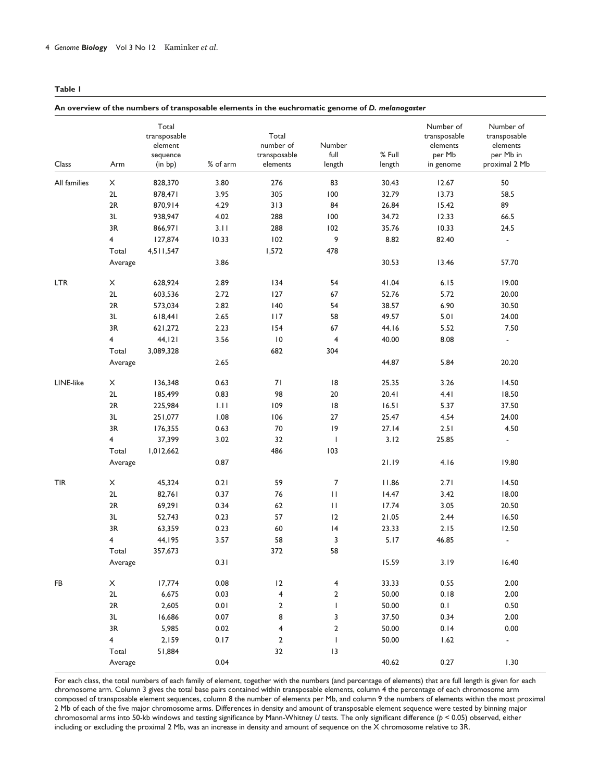#### **Table 1**

#### **An overview of the numbers of transposable elements in the euchromatic genome of** *D. melanogaster*

| Class        | Arm            | Total<br>transposable<br>element<br>sequence<br>(in bp) | % of arm | Total<br>number of<br>transposable<br>elements | Number<br>full<br>length | % Full<br>length | Number of<br>transposable<br>elements<br>per Mb<br>in genome | Number of<br>transposable<br>elements<br>per Mb in<br>proximal 2 Mb |
|--------------|----------------|---------------------------------------------------------|----------|------------------------------------------------|--------------------------|------------------|--------------------------------------------------------------|---------------------------------------------------------------------|
| All families | X              | 828,370                                                 | 3.80     | 276                                            | 83                       | 30.43            | 12.67                                                        | 50                                                                  |
|              | 2L             | 878,471                                                 | 3.95     | 305                                            | 100                      | 32.79            | 13.73                                                        | 58.5                                                                |
|              | 2R             | 870,914                                                 | 4.29     | 313                                            | 84                       | 26.84            | 15.42                                                        | 89                                                                  |
|              | 3L             | 938,947                                                 | 4.02     | 288                                            | 100                      | 34.72            | 12.33                                                        | 66.5                                                                |
|              | 3R             | 866,971                                                 | 3.11     | 288                                            | 102                      | 35.76            | 10.33                                                        | 24.5                                                                |
|              | $\overline{4}$ | 127,874                                                 | 10.33    | 102                                            | 9                        | 8.82             | 82.40                                                        | $\overline{\phantom{a}}$                                            |
|              | Total          | 4,511,547                                               |          | 1,572                                          | 478                      |                  |                                                              |                                                                     |
|              | Average        |                                                         | 3.86     |                                                |                          | 30.53            | 13.46                                                        | 57.70                                                               |
| <b>LTR</b>   | X              | 628,924                                                 | 2.89     | 134                                            | 54                       | 41.04            | 6.15                                                         | 19.00                                                               |
|              | 2L             | 603,536                                                 | 2.72     | 127                                            | 67                       | 52.76            | 5.72                                                         | 20.00                                                               |
|              | 2R             | 573,034                                                 | 2.82     | 140                                            | 54                       | 38.57            | 6.90                                                         | 30.50                                                               |
|              | 3L             | 618,441                                                 | 2.65     | 117                                            | 58                       | 49.57            | 5.01                                                         | 24.00                                                               |
|              | 3R             | 621,272                                                 | 2.23     | 154                                            | 67                       | 44.16            | 5.52                                                         | 7.50                                                                |
|              | 4              | 44, I2I                                                 | 3.56     | 10                                             | $\overline{4}$           | 40.00            | 8.08                                                         | $\overline{\phantom{a}}$                                            |
|              | Total          | 3,089,328                                               |          | 682                                            | 304                      |                  |                                                              |                                                                     |
|              | Average        |                                                         | 2.65     |                                                |                          | 44.87            | 5.84                                                         | 20.20                                                               |
| LINE-like    | X              | 136,348                                                 | 0.63     | 71                                             | 8                        | 25.35            | 3.26                                                         | 14.50                                                               |
|              | 2L             | 185,499                                                 | 0.83     | 98                                             | $20\,$                   | 20.41            | 4.41                                                         | 18.50                                                               |
|              | 2R             | 225,984                                                 | 1.11     | 109                                            | 8                        | 16.51            | 5.37                                                         | 37.50                                                               |
|              | 3L             | 251,077                                                 | 1.08     | 106                                            | 27                       | 25.47            | 4.54                                                         | 24.00                                                               |
|              | 3R             | 176,355                                                 | 0.63     | 70                                             | 9                        | 27.14            | 2.51                                                         | 4.50                                                                |
|              | $\overline{4}$ | 37,399                                                  | 3.02     | 32                                             | J.                       | 3.12             | 25.85                                                        | $\blacksquare$                                                      |
|              | Total          | 1,012,662                                               |          | 486                                            | 103                      |                  |                                                              |                                                                     |
|              | Average        |                                                         | 0.87     |                                                |                          | 21.19            | 4.16                                                         | 19.80                                                               |
| <b>TIR</b>   | X              | 45,324                                                  | 0.21     | 59                                             | $\overline{7}$           | 11.86            | 2.71                                                         | 14.50                                                               |
|              | 2L             | 82,761                                                  | 0.37     | 76                                             | $\mathbf{H}$             | 14.47            | 3.42                                                         | 18.00                                                               |
|              | 2R             | 69,291                                                  | 0.34     | 62                                             | $\mathbf{H}$             | 17.74            | 3.05                                                         | 20.50                                                               |
|              | 3L             | 52,743                                                  | 0.23     | 57                                             | 12                       | 21.05            | 2.44                                                         | 16.50                                                               |
|              | 3R             | 63,359                                                  | 0.23     | 60                                             | 4                        | 23.33            | 2.15                                                         | 12.50                                                               |
|              | 4              | 44,195                                                  | 3.57     | 58                                             | 3                        | 5.17             | 46.85                                                        | $\overline{a}$                                                      |
|              | Total          | 357,673                                                 |          | 372                                            | 58                       |                  |                                                              |                                                                     |
|              | Average        |                                                         | 0.31     |                                                |                          | 15.59            | 3.19                                                         | 16.40                                                               |
| FB           | X              | 17,774                                                  | 0.08     | 12                                             | $\overline{4}$           | 33.33            | 0.55                                                         | 2.00                                                                |
|              | 2L             | 6,675                                                   | 0.03     | $\overline{\mathbf{4}}$                        | $\mathbf 2$              | 50.00            | 0.18                                                         | 2.00                                                                |
|              | 2R             | 2,605                                                   | 0.01     | 2                                              | $\mathsf{I}$             | 50.00            | 0.1                                                          | 0.50                                                                |
|              | 3L             | 16,686                                                  | 0.07     | 8                                              | 3                        | 37.50            | 0.34                                                         | 2.00                                                                |
|              | 3R             | 5,985                                                   | 0.02     | 4                                              | $\mathbf{2}$             | 50.00            | 0.14                                                         | 0.00                                                                |
|              | $\overline{4}$ | 2,159                                                   | 0.17     | $\overline{2}$                                 | $\overline{1}$           | 50.00            | 1.62                                                         | $\blacksquare$                                                      |
|              | Total          | 51,884                                                  |          | 32                                             | $\vert 3$                |                  |                                                              |                                                                     |
|              | Average        |                                                         | 0.04     |                                                |                          | 40.62            | 0.27                                                         | 1.30                                                                |

For each class, the total numbers of each family of element, together with the numbers (and percentage of elements) that are full length is given for each chromosome arm. Column 3 gives the total base pairs contained within transposable elements, column 4 the percentage of each chromosome arm composed of transposable element sequences, column 8 the number of elements per Mb, and column 9 the numbers of elements within the most proximal 2 Mb of each of the five major chromosome arms. Differences in density and amount of transposable element sequence were tested by binning major chromosomal arms into 50-kb windows and testing significance by Mann-Whitney *U* tests. The only significant difference (*p* < 0.05) observed, either including or excluding the proximal 2 Mb, was an increase in density and amount of sequence on the X chromosome relative to 3R.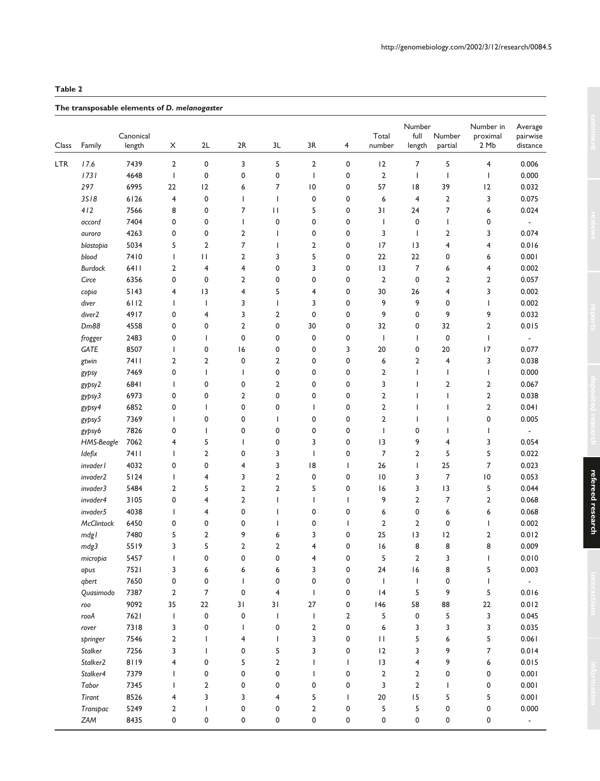# **Table 2**

# **The transposable elements of** *D. melanogaster*

| Class | Family               | Canonical<br>length | X                       | 2L                      | 2R                       | 3L                       | 3R                      | 4                        | Total<br>number                                                  | Number<br>full<br>length | Number<br>partial        | Number in<br>proximal<br>2 Mb | Average<br>pairwise<br>distance |
|-------|----------------------|---------------------|-------------------------|-------------------------|--------------------------|--------------------------|-------------------------|--------------------------|------------------------------------------------------------------|--------------------------|--------------------------|-------------------------------|---------------------------------|
| LTR   | 17.6                 | 7439                | $\overline{2}$          | 0                       | 3                        | 5                        | $\overline{2}$          | 0                        | 12                                                               | 7                        | 5                        | $\overline{\mathbf{4}}$       | 0.006                           |
|       | 1731                 | 4648                | $\mathbf{I}$            | 0                       | 0                        | 0                        | $\mathbf{I}$            | 0                        | $\overline{2}$                                                   | $\mathbf{I}$             | 1                        | $\overline{\phantom{a}}$      | 0.000                           |
|       | 297                  | 6995                | 22                      | 2                       | 6                        | 7                        | 10                      | 0                        | 57                                                               | 18                       | 39                       | 12                            | 0.032                           |
|       | 3518                 | 6126                | 4                       | 0                       | L                        | $\overline{1}$           | 0                       | 0                        | 6                                                                | $\overline{4}$           | $\overline{2}$           | 3                             | 0.075                           |
|       | 412                  | 7566                | 8                       | 0                       | 7                        | $\mathbf{H}$             | 5                       | $\mathbf 0$              | 31                                                               | 24                       | 7                        | 6                             | 0.024                           |
|       | accord               | 7404                | 0                       | 0                       | L                        | 0                        | 0                       | $\mathbf 0$              | $\mathbf{I}$                                                     | $\mathbf 0$              | $\overline{\phantom{a}}$ | 0                             |                                 |
|       |                      | 4263                | 0                       | 0                       | $\overline{2}$           | $\overline{1}$           | 0                       | $\mathbf 0$              | 3                                                                | J.                       | 2                        | 3                             | 0.074                           |
|       | aurora<br>blastopia  | 5034                | 5                       | $\overline{\mathbf{c}}$ | $\overline{\phantom{a}}$ | $\overline{1}$           | $\overline{\mathbf{c}}$ | 0                        | 17                                                               | 3                        | 4                        | $\overline{\mathbf{4}}$       | 0.016                           |
|       | blood                | 7410                |                         | П                       | $\overline{2}$           | 3                        | 5                       |                          | 22                                                               | 22                       | 0                        |                               | 0.001                           |
|       |                      |                     | T<br>$\overline{2}$     | $\overline{4}$          | $\overline{\mathbf{4}}$  | 0                        | 3                       | 0<br>$\mathbf 0$         | 3                                                                | $\overline{7}$           |                          | 6<br>$\overline{\mathbf{4}}$  | 0.002                           |
|       | <b>Burdock</b>       | 6411                | 0                       |                         |                          |                          |                         |                          |                                                                  | 0                        | 6                        |                               |                                 |
|       | Circe                | 6356                |                         | 0                       | $\mathbf{2}$             | 0                        | 0                       | $\mathbf 0$              | $\overline{2}$                                                   |                          | 2                        | $\mathbf{2}$                  | 0.057                           |
|       | copia                | 5143                | 4                       | 3                       | $\overline{\mathbf{4}}$  | 5                        | 4                       | $\mathbf 0$              | 30                                                               | 26                       | 4                        | 3                             | 0.002                           |
|       | diver                | 6112                | $\overline{1}$          | $\overline{1}$          | 3                        | $\overline{1}$           | 3                       | 0                        | 9                                                                | 9                        | 0                        | $\overline{\phantom{a}}$      | 0.002                           |
|       | diver2               | 4917                | 0                       | 4                       | 3                        | $\overline{\mathbf{c}}$  | 0                       | 0                        | 9                                                                | 0                        | 9                        | 9                             | 0.032                           |
|       | Dm88                 | 4558                | 0                       | 0                       | $\mathbf{2}$             | 0                        | 30                      | 0                        | 32                                                               | 0                        | 32                       | 2                             | 0.015                           |
|       | frogger              | 2483                | 0                       | $\overline{1}$          | 0                        | 0                        | 0                       | 0                        | $\overline{\phantom{a}}$                                         | I                        | 0                        | $\overline{\phantom{a}}$      | $\overline{\phantom{a}}$        |
|       | GATE                 | 8507                | T                       | 0                       | 16                       | 0                        | 0                       | 3                        | 20                                                               | 0                        | 20                       | 17                            | 0.077                           |
|       | gtwin                | 7411                | $\overline{\mathbf{c}}$ | $\overline{\mathbf{c}}$ | 0                        | $\overline{2}$           | 0                       | $\mathbf 0$              | 6                                                                | $\overline{2}$           | $\overline{4}$           | 3                             | 0.038                           |
|       | gypsy                | 7469                | 0                       | $\overline{1}$          | T                        | 0                        | 0                       | $\mathbf 0$              | $\overline{2}$                                                   | $\overline{\phantom{a}}$ | 1                        | $\overline{\phantom{a}}$      | 0.000                           |
|       | gypsy2               | 6841                | $\overline{1}$          | 0                       | 0                        | $\overline{2}$           | 0                       | 0                        | 3                                                                | ı                        | 2                        | $\mathbf{2}$                  | 0.067                           |
|       | gypsy3               | 6973                | 0                       | 0                       | 2                        | 0                        | 0                       | 0                        | $\overline{2}$                                                   | ı                        |                          | $\mathbf{2}$                  | 0.038                           |
|       | gypsy4               | 6852                | 0                       | I                       | 0                        | 0                        | $\overline{1}$          | 0                        | $\overline{2}$                                                   | ı                        | ı                        | $\mathbf{2}$                  | 0.041                           |
|       | gypsy5               | 7369                | $\overline{1}$          | 0                       | 0                        | I                        | 0                       | 0                        | $\overline{2}$                                                   | ı                        |                          | 0                             | 0.005                           |
|       | gypsy6               | 7826                | 0                       |                         | 0                        | 0                        | 0                       | $\mathbf 0$              | $\overline{1}$                                                   | 0                        |                          | $\overline{\phantom{a}}$      |                                 |
|       | HMS-Beagle           | 7062                | 4                       | 5                       | T                        | 0                        | 3                       | $\mathbf 0$              | 3                                                                | 9                        | 4                        | 3                             | 0.054                           |
|       | Idefix               | <b>7411</b>         | T                       | $\mathbf{2}$            | 0                        | 3                        | $\mathbf{I}$            | 0                        | $\overline{7}$                                                   | $\overline{2}$           | 5                        | 5                             | 0.022                           |
|       | invader l            | 4032                | 0                       | 0                       | 4                        | 3                        | 8                       | $\mathsf{I}$             | 26                                                               | I                        | 25                       | 7                             | 0.023                           |
|       | invader2             | $5124$              | T                       | 4                       | 3                        | $\overline{2}$           | 0                       | 0                        | 10                                                               | 3                        | $\overline{7}$           | 0                             | 0.053                           |
|       | invader3             | 5484                | $\overline{2}$          | 5                       | $\overline{2}$           | $\overline{2}$           | 5                       | 0                        | 16                                                               | 3                        | 13                       | 5                             | 0.044                           |
|       | invader4             | 3105                | 0                       | 4                       | $\mathbf{2}$             | $\overline{\phantom{a}}$ | $\mathbf{I}$            | 1                        | 9                                                                | $\overline{2}$           | 7                        | $\mathbf{2}$                  | 0.068                           |
|       | invader5             | 4038                | T                       | 4                       | 0                        | I                        | 0                       | $\mathbf 0$              | 6                                                                | 0                        | 6                        | 6                             | 0.068                           |
|       | McClintock           | 6450                | 0                       | 0                       | 0                        | ı                        | 0                       | $\overline{\phantom{a}}$ | $\overline{2}$                                                   | $\overline{2}$           | 0                        | $\overline{\phantom{a}}$      | 0.002                           |
|       | mdgl                 | 7480                | 5                       | $\overline{\mathbf{c}}$ | 9                        | 6                        | 3                       | 0                        | 25                                                               | 13                       | 12                       | 2                             | 0.012                           |
|       | mdg3                 | 5519                | 3                       | 5                       | $\mathbf{2}$             | $\overline{2}$           | $\overline{4}$          | 0                        | 16                                                               | 8                        | 8                        | 8                             | 0.009                           |
|       | micropia             | 5457                |                         | 0                       | 0                        | 0                        | 4                       | 0                        | 5                                                                | $\overline{2}$           | 3                        | $\mathbf{I}$                  | 0.010                           |
|       | opus                 | 7521                | 3                       | 6                       | 6                        | 6                        | 3                       | 0                        | 24                                                               | 6                        | 8                        | 5                             | 0.003                           |
|       | qbert                | 7650                | 0                       | 0                       | $\mathbf{I}$             | 0                        | 0                       | 0                        | $\mathbf{I}$                                                     | J.                       | 0                        | ı                             | $\overline{\phantom{a}}$        |
|       | Quasimodo            | 7387                | $\overline{2}$          | 7                       | 0                        | $\overline{\mathbf{4}}$  | $\overline{1}$          | 0                        | 4                                                                | 5                        | 9                        | 5                             | 0.016                           |
|       | roo                  | 9092                | 35                      | $22\,$                  | 31                       | 31                       | 27                      | 0                        | 146                                                              | 58                       | 88                       | $22\,$                        | 0.012                           |
|       | rooA                 | 7621                | $\mathbf{I}$            | $\pmb{0}$               | 0                        | J.                       | T                       | $\overline{2}$           | 5                                                                | 0                        | 5                        | 3                             | 0.045                           |
|       | rover                | 7318                | 3                       | 0                       | T                        | 0                        | $\overline{2}$          | 0                        | 6                                                                | 3                        | 3                        | 3                             | 0.035                           |
|       | springer             | 7546                | $\mathbf{2}$            |                         | $\overline{4}$           | $\mathbf{I}$             | 3                       | 0                        | $\mathsf{H}% _{T}=\mathsf{H}_{T}\left( \mathcal{M}_{T}\right) ,$ | 5                        | 6                        | 5                             | 0.061                           |
|       | Stalker              | 7256                | 3                       |                         | 0                        | 5                        | 3                       | 0                        | 12                                                               | 3                        | 9                        | 7                             | 0.014                           |
|       | Stalker <sub>2</sub> | 8119                | 4                       | 0                       | 5                        | $\overline{2}$           | <sup>1</sup>            | $\mathbf{I}$             | 3                                                                | 4                        | 9                        | 6                             | 0.015                           |
|       | Stalker4             | 7379                | T                       | 0                       | 0                        | $\pmb{0}$                |                         | 0                        | $\mathbf 2$                                                      | $\overline{2}$           | 0                        | 0                             | 0.001                           |
|       | Tabor                | 7345                | T                       | 2                       | 0                        | 0                        | 0                       | 0                        | 3                                                                | $\overline{2}$           |                          | 0                             | 0.001                           |
|       | Tirant               | 8526                | 4                       | 3                       | 3                        | 4                        | 5                       | $\mathbf{I}$             | 20                                                               | 15                       | 5                        | 5                             | 0.001                           |
|       | Transpac             | 5249                | 2                       |                         | 0                        | 0                        | $\mathbf{2}$            | 0                        | 5                                                                | 5                        | 0                        | 0                             | 0.000                           |
|       | ZAM                  | 8435                | 0                       | 0                       | 0                        | 0                        | 0                       | 0                        | 0                                                                | 0                        | 0                        | 0                             | $\overline{\phantom{a}}$        |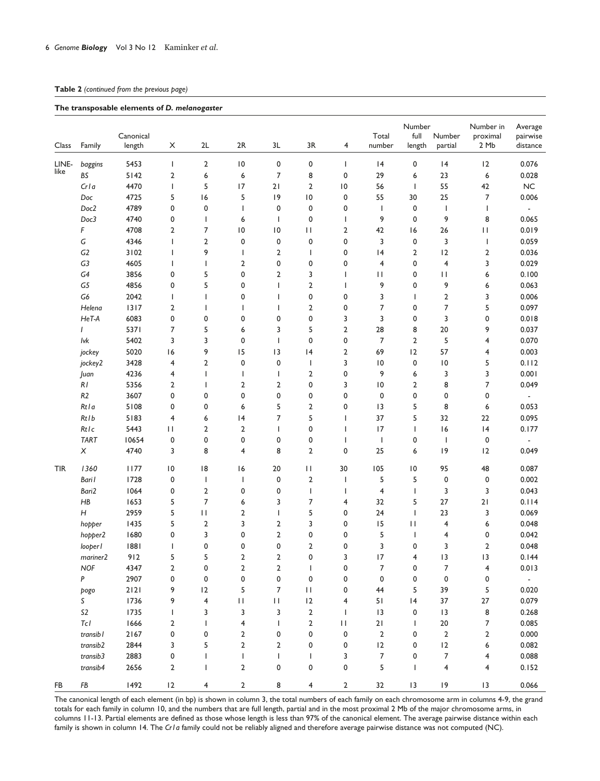# **Table 2** *(continued from the previous page)*

#### **The transposable elements of** *D. melanogaster*

| Class         | Family                    | Canonical<br>length | X                        | 2L             | 2R                      | 3L                                                               | 3R                           | 4                        | Total<br>number          | Number<br>full<br>length | Number<br>partial       | Number in<br>proximal<br>2 Mb | Average<br>pairwise<br>distance |
|---------------|---------------------------|---------------------|--------------------------|----------------|-------------------------|------------------------------------------------------------------|------------------------------|--------------------------|--------------------------|--------------------------|-------------------------|-------------------------------|---------------------------------|
|               |                           |                     |                          |                |                         |                                                                  |                              |                          |                          |                          |                         |                               |                                 |
| LINE-<br>like | baggins                   | 5453                | $\mathsf{I}$             | 2              | $\overline{10}$         | 0                                                                | 0                            | T                        | 4                        | 0                        | 4                       | 12                            | 0.076                           |
|               | BS                        | 5142                | $\mathbf{2}$             | 6              | 6                       | 7                                                                | 8                            | 0                        | 29                       | 6                        | 23                      | 6                             | 0.028                           |
|               | Cr1a                      | 4470                | $\mathsf{I}$             | 5              | 17                      | 21                                                               | $\mathbf{2}$                 | $\overline{\phantom{0}}$ | 56                       | $\mathbf{I}$             | 55                      | 42                            | NC                              |
|               | $\mathsf{Doc}$            | 4725                | 5                        | 16             | 5                       | 9                                                                | $\overline{\phantom{0}}$ l O | 0                        | 55                       | 30                       | 25                      | 7                             | 0.006                           |
|               | Doc2                      | 4789                | 0                        | 0              | I                       | 0                                                                | $\mathbf 0$                  | 0                        | $\overline{\phantom{a}}$ | 0                        | J.                      | 1                             | $\overline{\phantom{a}}$        |
|               | Doc3                      | 4740                | 0                        | $\mathbf{I}$   | 6                       | T                                                                | $\mathbf 0$                  | I                        | 9                        | 0                        | 9                       | 8                             | 0.065                           |
|               | F                         | 4708                | 2                        | 7              | $\overline{10}$         | $\overline{10}$                                                  | П                            | 2                        | 42                       | 16                       | 26                      | $\mathbf{H}$                  | 0.019                           |
|               | $\mathsf{G}$              | 4346                | $\overline{\phantom{a}}$ | $\overline{2}$ | $\mathbf 0$             | 0                                                                | $\mathbf 0$                  | 0                        | 3                        | $\pmb{0}$                | 3                       | $\overline{\phantom{a}}$      | 0.059                           |
|               | G <sub>2</sub>            | 3102                | $\mathbf{I}$             | 9              | $\mathbf{I}$            | 2                                                                | $\mathbf{I}$                 | 0                        | 4                        | $\overline{2}$           | 12                      | 2                             | 0.036                           |
|               | G3                        | 4605                | $\mathbf{I}$             | T              | $\overline{2}$          | 0                                                                | $\mathbf 0$                  | 0                        | $\overline{4}$           | 0                        | $\overline{4}$          | 3                             | 0.029                           |
|               | G4                        | 3856                | 0                        | 5              | 0                       | $\overline{2}$                                                   | 3                            | $\mathbf{I}$             | П                        | 0                        | $\mathbf{H}$            | 6                             | 0.100                           |
|               | G5                        | 4856                | 0                        | 5              | 0                       | I                                                                | $\overline{2}$               | T                        | 9                        | 0                        | 9                       | 6                             | 0.063                           |
|               | G6                        | 2042                | $\overline{\phantom{a}}$ | J.             | 0                       | T                                                                | 0                            | 0                        | 3                        | T                        | $\overline{\mathbf{c}}$ | 3                             | 0.006                           |
|               | Helena                    | 1317                | 2                        | ı              | ı                       | T                                                                | $\overline{2}$               | 0                        | 7                        | 0                        | 7                       | 5                             | 0.097                           |
|               | HeT-A                     | 6083                | 0                        | 0              | 0                       | 0                                                                | 0                            | 3                        | 3                        | 0                        | 3                       | 0                             | 0.018                           |
|               | $\overline{1}$            | 5371                | 7                        | 5              | 6                       | 3                                                                | 5                            | $\overline{2}$           | 28                       | 8                        | 20                      | 9                             | 0.037                           |
|               | lvk                       | 5402                | 3                        | 3              | 0                       | T                                                                | $\mathbf 0$                  | 0                        | 7                        | $\overline{2}$           | 5                       | 4                             | 0.070                           |
|               | jockey                    | 5020                | 16                       | 9              | 15                      | 3                                                                | 4                            | 2                        | 69                       | 2                        | 57                      | 4                             | 0.003                           |
|               | jockey2                   | 3428                | 4                        | $\overline{2}$ | 0                       | 0                                                                | $\overline{\phantom{a}}$     | 3                        | $\overline{10}$          | 0                        | $\overline{10}$         | 5                             | 0.112                           |
|               | Juan                      | 4236                | 4                        | J.             | I                       | I                                                                | $\overline{2}$               | 0                        | 9                        | 6                        | 3                       | 3                             | 0.001                           |
|               | $\cal RI$                 | 5356                | 2                        | 1              | $\overline{\mathbf{c}}$ | $\mathbf{2}$                                                     | 0                            | 3                        | $\overline{10}$          | 2                        | 8                       | 7                             | 0.049                           |
|               | R2                        | 3607                | 0                        | 0              | 0                       | 0                                                                | 0                            | 0                        | 0                        | 0                        | 0                       | 0                             | $\blacksquare$                  |
|               | Rtla                      | 5108                | 0                        | 0              | 6                       | 5                                                                | 2                            | 0                        | 3                        | 5                        | 8                       | 6                             | 0.053                           |
|               | Rtlb                      | 5183                | 4                        | 6              | 4                       | 7                                                                | 5                            | $\mathbf{I}$             | 37                       | 5                        | 32                      | 22                            | 0.095                           |
|               | Rtlc                      | 5443                | $\mathbf{H}$             | $\overline{2}$ | $\overline{2}$          | T                                                                | $\mathbf 0$                  | $\mathbf{I}$             | 17                       | T                        | 16                      | 4                             | 0.177                           |
|               | <b>TART</b>               | 10654               | 0                        | 0              | 0                       | 0                                                                | $\mathbf 0$                  | $\mathbf{I}$             | $\overline{1}$           | 0                        | J.                      | $\pmb{0}$                     |                                 |
|               |                           |                     |                          | 8              |                         | 8                                                                | $\overline{2}$               | 0                        |                          |                          | 9                       |                               |                                 |
|               | $\boldsymbol{\mathsf{X}}$ | 4740                | 3                        |                | 4                       |                                                                  |                              |                          | 25                       | 6                        |                         | 12                            | 0.049                           |
| <b>TIR</b>    | 1360                      | 1177                | $\overline{10}$          | 8              | 6                       | 20                                                               | П                            | 30                       | 105                      | $\overline{10}$          | 95                      | 48                            | 0.087                           |
|               | Bari I                    | 1728                | 0                        | T              | I                       | 0                                                                | $\overline{2}$               | I                        | 5                        | 5                        | 0                       | 0                             | 0.002                           |
|               | Bari2                     | 1064                | 0                        | $\overline{2}$ | 0                       | 0                                                                | $\overline{\phantom{a}}$     | I                        | $\overline{4}$           | T                        | 3                       | 3                             | 0.043                           |
|               | H B                       | 1653                | 5                        | $\overline{7}$ | 6                       | 3                                                                | 7                            | 4                        | 32                       | 5                        | 27                      | 21                            | 0.114                           |
|               | H                         | 2959                | 5                        | $\mathbf{H}$   | $\overline{2}$          | T                                                                | 5                            | 0                        | 24                       | ı                        | 23                      | 3                             | 0.069                           |
|               | hopper                    | 1435                | 5                        | $\overline{2}$ | 3                       | $\mathbf{2}$                                                     | 3                            | 0                        | 15                       | П                        | 4                       | 6                             | 0.048                           |
|               | hopper2                   | 1680                | 0                        | 3              | 0                       | $\mathbf{2}$                                                     | 0                            | 0                        | 5                        | 1                        | 4                       | 0                             | 0.042                           |
|               | looper l                  | 1881                | -1                       | 0              | 0                       | 0                                                                | $\overline{2}$               | 0                        | 3                        | 0                        | 3                       | $\mathbf{2}$                  | 0.048                           |
|               | mainer2                   | 912                 | 5                        | 5              | 2                       | $\overline{\mathbf{c}}$                                          | 0                            | 3                        | 17                       | 4                        | 3                       | 3                             | 0.144                           |
|               | <b>NOF</b>                | 4347                | $\mathbf{2}$             | 0              | 2                       | $\mathbf{2}$                                                     | $\mathsf{l}$                 | 0                        | 7                        | 0                        | 7                       | 4                             | 0.013                           |
|               | P                         | 2907                | 0                        | 0              | 0                       | 0                                                                | 0                            | 0                        | 0                        | 0                        | $\pmb{0}$               | 0                             | $\omega_{\rm c}$                |
|               | pogo                      | $2121$              | 9                        | 12             | 5                       | 7                                                                | П                            | 0                        | 44                       | 5                        | 39                      | 5                             | 0.020                           |
|               | S                         | 1736                | 9                        | $\overline{4}$ | $\mathbf{H}$            | $\mathsf{H}% _{T}=\mathsf{H}_{T}\left( \mathcal{M}_{T}\right) ,$ | 12                           | 4                        | 51                       | 4                        | 37                      | 27                            | 0.079                           |
|               | S <sub>2</sub>            | 1735                | 1                        | 3              | 3                       | 3                                                                | $\overline{2}$               |                          | 3                        | 0                        | 13                      | 8                             | 0.268                           |
|               | TcI                       | 1666                | $\mathbf{2}$             | ı              | 4                       | T                                                                | $\mathbf{2}$                 | $\mathbf{H}$             | 21                       | T                        | $20\,$                  | 7                             | 0.085                           |
|               | transib l                 | 2167                | 0                        | 0              | 2                       | 0                                                                | 0                            | 0                        | $\mathbf 2$              | 0                        | $\mathbf 2$             | $\mathbf{2}$                  | 0.000                           |
|               | transib2                  | 2844                | 3                        | 5              | $\overline{2}$          | $\overline{2}$                                                   | 0                            | 0                        | 2                        | 0                        | 12                      | 6                             | 0.082                           |
|               | transib3                  | 2883                | 0                        |                |                         | T                                                                |                              | 3                        | 7                        | 0                        | 7                       | 4                             | 0.088                           |
|               | transib4                  | 2656                | 2                        | ı              | $\overline{2}$          | 0                                                                | 0                            | 0                        | 5                        |                          | 4                       | 4                             | 0.152                           |
| FB            | ${\sf FB}$                | 1492                | 12                       | 4              | $\overline{\mathbf{c}}$ | 8                                                                | 4                            | $\mathbf{2}$             | 32                       | $13$                     | 9                       | $\sqrt{3}$                    | 0.066                           |

The canonical length of each element (in bp) is shown in column 3, the total numbers of each family on each chromosome arm in columns 4-9, the grand totals for each family in column 10, and the numbers that are full length, partial and in the most proximal 2 Mb of the major chromosome arms, in columns 11-13. Partial elements are defined as those whose length is less than 97% of the canonical element. The average pairwise distance within each family is shown in column 14. The *Cr1a* family could not be reliably aligned and therefore average pairwise distance was not computed (NC).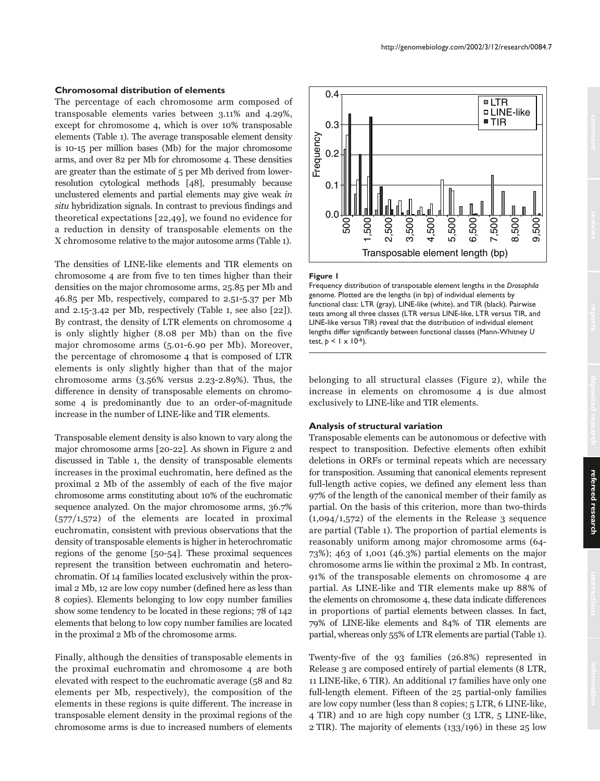#### **Chromosomal distribution of elements**

The percentage of each chromosome arm composed of transposable elements varies between 3.11% and 4.29%, except for chromosome 4, which is over 10% transposable elements (Table 1). The average transposable element density is 10-15 per million bases (Mb) for the major chromosome arms, and over 82 per Mb for chromosome 4. These densities are greater than the estimate of 5 per Mb derived from lowerresolution cytological methods [48], presumably because unclustered elements and partial elements may give weak in situ hybridization signals. In contrast to previous findings and theoretical expectations [22,49], we found no evidence for a reduction in density of transposable elements on the X chromosome relative to the major autosome arms (Table 1).

The densities of LINE-like elements and TIR elements on chromosome 4 are from five to ten times higher than their densities on the major chromosome arms, 25.85 per Mb and 46.85 per Mb, respectively, compared to 2.51-5.37 per Mb and 2.15-3.42 per Mb, respectively (Table 1, see also [22]). By contrast, the density of LTR elements on chromosome 4 is only slightly higher (8.08 per Mb) than on the five major chromosome arms (5.01-6.90 per Mb). Moreover, the percentage of chromosome 4 that is composed of LTR elements is only slightly higher than that of the major chromosome arms  $(3.56\%$  versus  $2.23$ -2.89%). Thus, the difference in density of transposable elements on chromosome 4 is predominantly due to an order-of-magnitude increase in the number of LINE-like and TIR elements.

Transposable element density is also known to vary along the major chromosome arms [20-22]. As shown in Figure 2 and discussed in Table 1, the density of transposable elements increases in the proximal euchromatin, here defined as the proximal 2 Mb of the assembly of each of the five major chromosome arms constituting about 10% of the euchromatic sequence analyzed. On the major chromosome arms, 36.7%  $(577/1,572)$  of the elements are located in proximal euchromatin, consistent with previous observations that the density of transposable elements is higher in heterochromatic regions of the genome [50-54]. These proximal sequences represent the transition between euchromatin and heterochromatin. Of 14 families located exclusively within the proximal 2 Mb, 12 are low copy number (defined here as less than 8 copies). Elements belonging to low copy number families show some tendency to be located in these regions; 78 of 142 elements that belong to low copy number families are located in the proximal 2 Mb of the chromosome arms.

Finally, although the densities of transposable elements in the proximal euchromatin and chromosome 4 are both elevated with respect to the euchromatic average (58 and 82 elements per Mb, respectively), the composition of the elements in these regions is quite different. The increase in transposable element density in the proximal regions of the chromosome arms is due to increased numbers of elements



#### **Figure 1**

Frequency distribution of transposable element lengths in the *Drosophila* genome. Plotted are the lengths (in bp) of individual elements by functional class: LTR (gray), LINE-like (white), and TIR (black). Pairwise tests among all three classes (LTR versus LINE-like, LTR versus TIR, and LINE-like versus TIR) reveal that the distribution of individual element lengths differ significantly between functional classes (Mann-Whitney *U* test,  $p < | \times 10^{-6}$ ).

belonging to all structural classes (Figure 2), while the increase in elements on chromosome 4 is due almost exclusively to LINE-like and TIR elements.

#### **Analysis of structural variation**

Transposable elements can be autonomous or defective with respect to transposition. Defective elements often exhibit deletions in ORFs or terminal repeats which are necessary for transposition. Assuming that canonical elements represent full-length active copies, we defined any element less than 97% of the length of the canonical member of their family as partial. On the basis of this criterion, more than two-thirds  $(1,094/1,572)$  of the elements in the Release 3 sequence are partial (Table 1). The proportion of partial elements is reasonably uniform among major chromosome arms (64- 73%); 463 of 1,001 (46.3%) partial elements on the major chromosome arms lie within the proximal 2 Mb. In contrast, 91% of the transposable elements on chromosome 4 are partial. As LINE-like and TIR elements make up 88% of the elements on chromosome 4, these data indicate differences in proportions of partial elements between classes. In fact, 79% of LINE-like elements and 84% of TIR elements are partial, whereas only 55% of LTR elements are partial (Table 1).

Twenty-five of the 93 families (26.8%) represented in Release 3 are composed entirely of partial elements (8 LTR, 11 LINE-like, 6 TIR). An additional 17 families have only one full-length element. Fifteen of the 25 partial-only families are low copy number (less than 8 copies; 5 LTR, 6 LINE-like, 4 TIR) and 10 are high copy number (3 LTR, 5 LINE-like, 2 TIR). The majority of elements (133/196) in these 25 low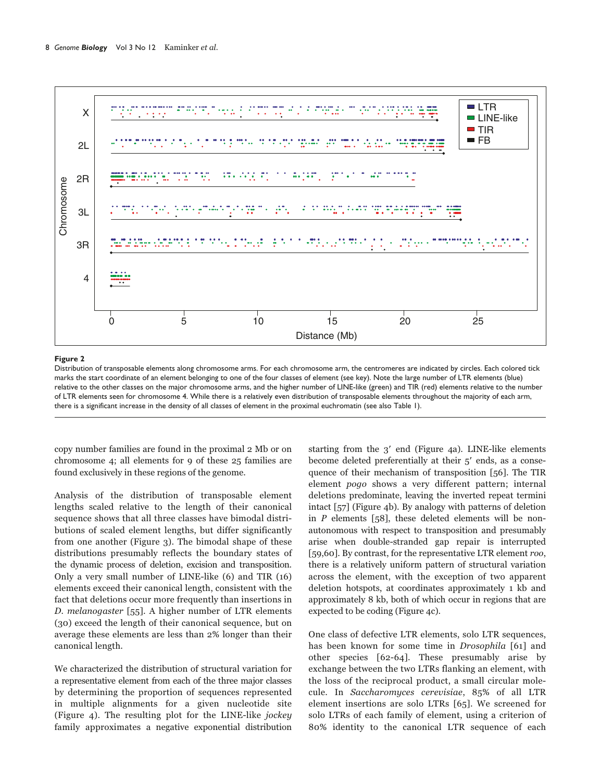

#### **Figure 2**

Distribution of transposable elements along chromosome arms. For each chromosome arm, the centromeres are indicated by circles. Each colored tick marks the start coordinate of an element belonging to one of the four classes of element (see key). Note the large number of LTR elements (blue) relative to the other classes on the major chromosome arms, and the higher number of LINE-like (green) and TIR (red) elements relative to the number of LTR elements seen for chromosome 4. While there is a relatively even distribution of transposable elements throughout the majority of each arm, there is a significant increase in the density of all classes of element in the proximal euchromatin (see also Table 1).

copy number families are found in the proximal 2 Mb or on chromosome 4; all elements for 9 of these 25 families are found exclusively in these regions of the genome.

Analysis of the distribution of transposable element lengths scaled relative to the length of their canonical sequence shows that all three classes have bimodal distributions of scaled element lengths, but differ significantly from one another (Figure 3). The bimodal shape of these distributions presumably reflects the boundary states of the dynamic process of deletion, excision and transposition. Only a very small number of LINE-like (6) and TIR (16) elements exceed their canonical length, consistent with the fact that deletions occur more frequently than insertions in D. melanogaster [55]. A higher number of LTR elements (30) exceed the length of their canonical sequence, but on average these elements are less than 2% longer than their canonical length.

We characterized the distribution of structural variation for a representative element from each of the three major classes by determining the proportion of sequences represented in multiple alignments for a given nucleotide site (Figure 4). The resulting plot for the LINE-like jockey family approximates a negative exponential distribution

starting from the  $3'$  end (Figure 4a). LINE-like elements become deleted preferentially at their  $5'$  ends, as a consequence of their mechanism of transposition [56]. The TIR element pogo shows a very different pattern; internal deletions predominate, leaving the inverted repeat termini intact [57] (Figure 4b). By analogy with patterns of deletion in  $P$  elements [58], these deleted elements will be nonautonomous with respect to transposition and presumably arise when double-stranded gap repair is interrupted [59,60]. By contrast, for the representative LTR element roo, there is a relatively uniform pattern of structural variation across the element, with the exception of two apparent deletion hotspots, at coordinates approximately 1 kb and approximately 8 kb, both of which occur in regions that are expected to be coding (Figure 4c).

One class of defective LTR elements, solo LTR sequences, has been known for some time in Drosophila [61] and other species [62-64]. These presumably arise by exchange between the two LTRs flanking an element, with the loss of the reciprocal product, a small circular molecule. In Saccharomyces cerevisiae, 85% of all LTR element insertions are solo LTRs [65]. We screened for solo LTRs of each family of element, using a criterion of 80% identity to the canonical LTR sequence of each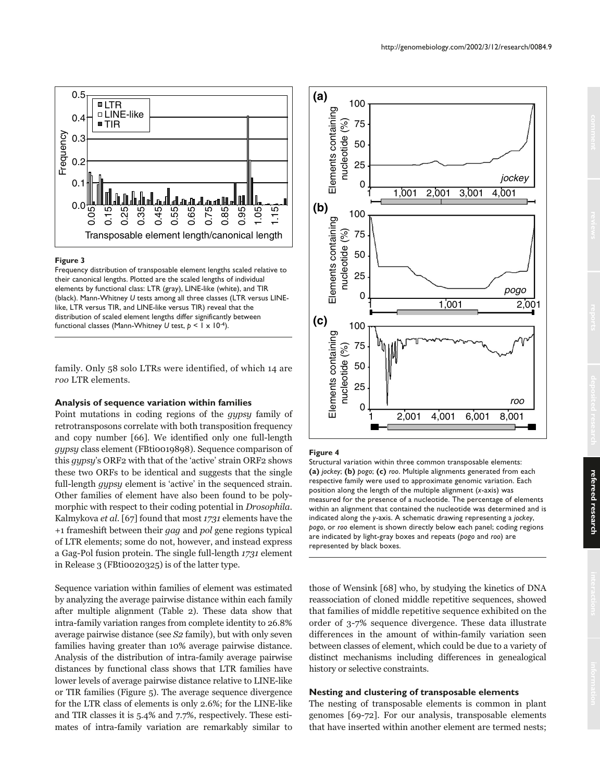

#### **Figure 3**

Frequency distribution of transposable element lengths scaled relative to their canonical lengths. Plotted are the scaled lengths of individual elements by functional class: LTR (gray), LINE-like (white), and TIR (black). Mann-Whitney *U* tests among all three classes (LTR versus LINElike, LTR versus TIR, and LINE-like versus TIR) reveal that the distribution of scaled element lengths differ significantly between functional classes (Mann-Whitney *U* test, *p* < 1 x 10-4).

family. Only 58 solo LTRs were identified, of which 14 are roo LTR elements.

#### **Analysis of sequence variation within families**

Point mutations in coding regions of the gypsy family of retrotransposons correlate with both transposition frequency and copy number [66]. We identified only one full-length gypsy class element (FBti0019898). Sequence comparison of this gypsy's ORF2 with that of the 'active' strain ORF2 shows these two ORFs to be identical and suggests that the single full-length *qypsy* element is 'active' in the sequenced strain. Other families of element have also been found to be polymorphic with respect to their coding potential in *Drosophila*. Kalmykova et al. [67] found that most 1731 elements have the +1 frameshift between their gag and pol gene regions typical of LTR elements; some do not, however, and instead express a Gag-Pol fusion protein. The single full-length 1731 element in Release 3 (FBti0020325) is of the latter type.

Sequence variation within families of element was estimated by analyzing the average pairwise distance within each family after multiple alignment (Table 2). These data show that intra-family variation ranges from complete identity to 26.8% average pairwise distance (see S2 family), but with only seven families having greater than 10% average pairwise distance. Analysis of the distribution of intra-family average pairwise distances by functional class shows that LTR families have lower levels of average pairwise distance relative to LINE-like or TIR families (Figure 5). The average sequence divergence for the LTR class of elements is only 2.6%; for the LINE-like and TIR classes it is 5.4% and 7.7%, respectively. These estimates of intra-family variation are remarkably similar to



### **Figure 4**

Structural variation within three common transposable elements: **(a)** *jockey*; **(b)** *pogo*; **(c)** *roo*. Multiple alignments generated from each respective family were used to approximate genomic variation. Each position along the length of the multiple alignment (*x*-axis) was measured for the presence of a nucleotide. The percentage of elements within an alignment that contained the nucleotide was determined and is indicated along the *y*-axis. A schematic drawing representing a *jockey*, *pogo*, or *roo* element is shown directly below each panel; coding regions are indicated by light-gray boxes and repeats (*pogo* and *roo*) are represented by black boxes.

those of Wensink [68] who, by studying the kinetics of DNA reassociation of cloned middle repetitive sequences, showed that families of middle repetitive sequence exhibited on the order of 3-7% sequence divergence. These data illustrate differences in the amount of within-family variation seen between classes of element, which could be due to a variety of distinct mechanisms including differences in genealogical history or selective constraints.

### **Nesting and clustering of transposable elements**

The nesting of transposable elements is common in plant genomes [69-72]. For our analysis, transposable elements that have inserted within another element are termed nests;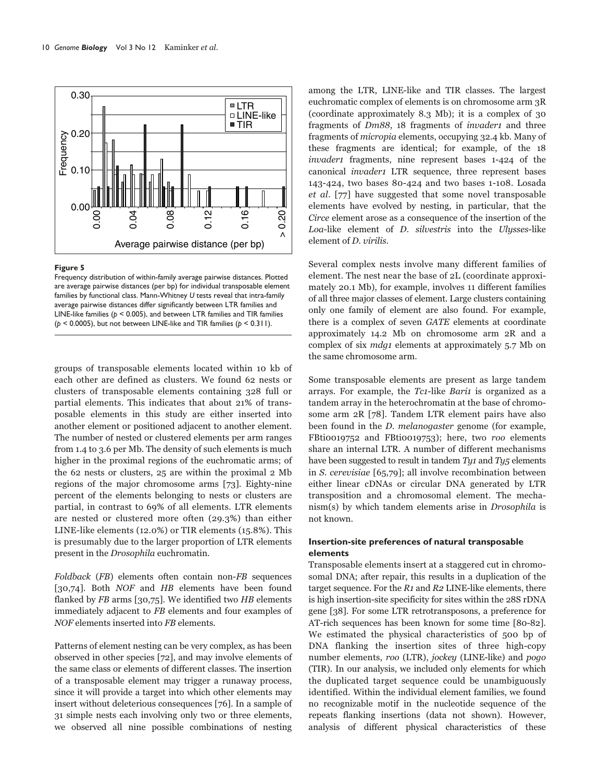

#### **Figure 5**

Frequency distribution of within-family average pairwise distances. Plotted are average pairwise distances (per bp) for individual transposable element families by functional class. Mann-Whitney *U* tests reveal that intra-family average pairwise distances differ significantly between LTR families and LINE-like families ( $p < 0.005$ ), and between LTR families and TIR families ( $p < 0.0005$ ), but not between LINE-like and TIR families ( $p < 0.311$ ). (**p** = 0.0005), but not between LINE-like and TIR families (*p* < 0.311).<br>
(*p* < 0.0005), but not between LINE-like and TIR families (*p* < 0.0005), but not between LINE-like and TIR families (*p* < 0.0005), but not betwe

groups of transposable elements located within 10 kb of each other are defined as clusters. We found 62 nests or clusters of transposable elements containing 328 full or partial elements. This indicates that about 21% of transposable elements in this study are either inserted into another element or positioned adjacent to another element. The number of nested or clustered elements per arm ranges from 1.4 to 3.6 per Mb. The density of such elements is much higher in the proximal regions of the euchromatic arms; of the 62 nests or clusters, 25 are within the proximal 2 Mb regions of the major chromosome arms [73]. Eighty-nine percent of the elements belonging to nests or clusters are partial, in contrast to 69% of all elements. LTR elements are nested or clustered more often (29.3%) than either LINE-like elements (12.0%) or TIR elements (15.8%). This is presumably due to the larger proportion of LTR elements present in the Drosophila euchromatin.

Foldback (FB) elements often contain non-FB sequences [30,74]. Both *NOF* and *HB* elements have been found flanked by  $FB$  arms [30,75]. We identified two  $HB$  elements immediately adjacent to FB elements and four examples of NOF elements inserted into FB elements.

Patterns of element nesting can be very complex, as has been observed in other species [72], and may involve elements of the same class or elements of different classes. The insertion of a transposable element may trigger a runaway process, since it will provide a target into which other elements may insert without deleterious consequences [76]. In a sample of 31 simple nests each involving only two or three elements, we observed all nine possible combinations of nesting among the LTR, LINE-like and TIR classes. The largest euchromatic complex of elements is on chromosome arm 3R (coordinate approximately 8.3 Mb); it is a complex of 30 fragments of Dm88, 18 fragments of invader1 and three fragments of micropia elements, occupying 32.4 kb. Many of these fragments are identical; for example, of the 18 invader1 fragments, nine represent bases 1-424 of the canonical invader1 LTR sequence, three represent bases 143-424, two bases 80-424 and two bases 1-108. Losada et al. [77] have suggested that some novel transposable elements have evolved by nesting, in particular, that the Circe element arose as a consequence of the insertion of the Loa-like element of D. silvestris into the Ulysses-like element of D. virilis.

Several complex nests involve many different families of element. The nest near the base of 2L (coordinate approximately 20.1 Mb), for example, involves 11 different families of all three major classes of element. Large clusters containing only one family of element are also found. For example, there is a complex of seven GATE elements at coordinate approximately 14.2 Mb on chromosome arm 2R and a complex of six *mdg1* elements at approximately 5.7 Mb on the same chromosome arm.

Some transposable elements are present as large tandem arrays. For example, the  $Tc1$ -like  $Bari1$  is organized as a tandem array in the heterochromatin at the base of chromosome arm 2R [78]. Tandem LTR element pairs have also been found in the D. melanogaster genome (for example, FBti0019752 and FBti0019753); here, two roo elements share an internal LTR. A number of different mechanisms have been suggested to result in tandem  $Ty_1$  and  $Ty_5$  elements in S. cerevisiae [65,79]; all involve recombination between either linear cDNAs or circular DNA generated by LTR transposition and a chromosomal element. The mechanism(s) by which tandem elements arise in Drosophila is not known.

# **Insertion-site preferences of natural transposable elements**

Transposable elements insert at a staggered cut in chromosomal DNA; after repair, this results in a duplication of the target sequence. For the  $R_1$  and  $R_2$  LINE-like elements, there is high insertion-site specificity for sites within the 28S rDNA gene [38]. For some LTR retrotransposons, a preference for AT-rich sequences has been known for some time [80-82]. We estimated the physical characteristics of 500 bp of DNA flanking the insertion sites of three high-copy number elements, roo (LTR), jockey (LINE-like) and pogo (TIR). In our analysis, we included only elements for which the duplicated target sequence could be unambiguously identified. Within the individual element families, we found no recognizable motif in the nucleotide sequence of the repeats flanking insertions (data not shown). However, analysis of different physical characteristics of these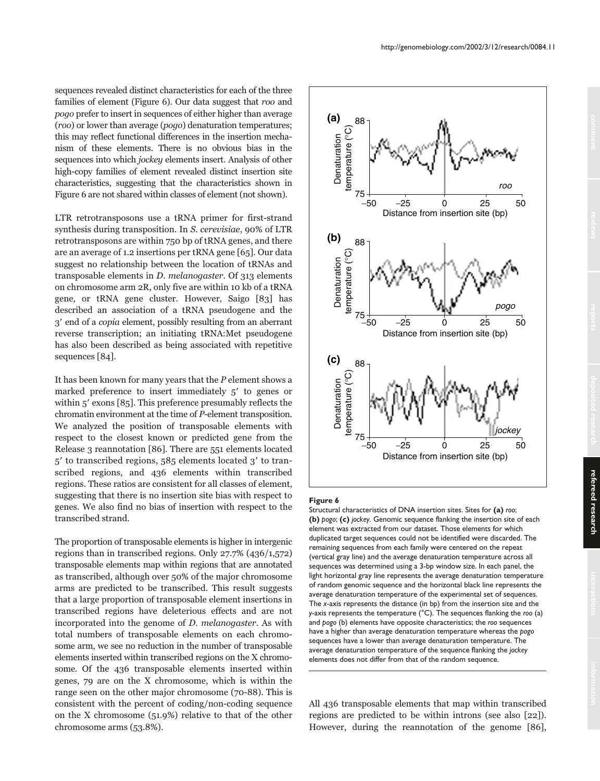sequences revealed distinct characteristics for each of the three families of element (Figure 6). Our data suggest that roo and pogo prefer to insert in sequences of either higher than average (roo) or lower than average (pogo) denaturation temperatures; this may reflect functional differences in the insertion mechanism of these elements. There is no obvious bias in the sequences into which jockey elements insert. Analysis of other high-copy families of element revealed distinct insertion site characteristics, suggesting that the characteristics shown in Figure 6 are not shared within classes of element (not shown).

LTR retrotransposons use a tRNA primer for first-strand synthesis during transposition. In S. cerevisiae, 90% of LTR retrotransposons are within 750 bp of tRNA genes, and there are an average of 1.2 insertions per tRNA gene [65]. Our data suggest no relationship between the location of tRNAs and transposable elements in D. melanogaster. Of 313 elements on chromosome arm 2R, only five are within 10 kb of a tRNA gene, or tRNA gene cluster. However, Saigo [83] has described an association of a tRNA pseudogene and the 3 end of a copia element, possibly resulting from an aberrant reverse transcription; an initiating tRNA:Met pseudogene has also been described as being associated with repetitive sequences [84].

It has been known for many years that the P element shows a marked preference to insert immediately  $5'$  to genes or within  $5'$  exons [85]. This preference presumably reflects the chromatin environment at the time of P-element transposition. We analyzed the position of transposable elements with respect to the closest known or predicted gene from the Release 3 reannotation [86]. There are 551 elements located 5' to transcribed regions, 585 elements located 3' to transcribed regions, and 436 elements within transcribed regions. These ratios are consistent for all classes of element, suggesting that there is no insertion site bias with respect to genes. We also find no bias of insertion with respect to the transcribed strand.

The proportion of transposable elements is higher in intergenic regions than in transcribed regions. Only 27.7% (436/1,572) transposable elements map within regions that are annotated as transcribed, although over 50% of the major chromosome arms are predicted to be transcribed. This result suggests that a large proportion of transposable element insertions in transcribed regions have deleterious effects and are not incorporated into the genome of D. melanogaster. As with total numbers of transposable elements on each chromosome arm, we see no reduction in the number of transposable elements inserted within transcribed regions on the X chromosome. Of the 436 transposable elements inserted within genes, 79 are on the X chromosome, which is within the range seen on the other major chromosome (70-88). This is consistent with the percent of coding/non-coding sequence on the X chromosome (51.9%) relative to that of the other chromosome arms (53.8%).



#### **Figure 6**

Structural characteristics of DNA insertion sites. Sites for **(a)** *roo*; **(b)** *pogo*; **(c)** *jockey*. Genomic sequence flanking the insertion site of each element was extracted from our dataset. Those elements for which duplicated target sequences could not be identified were discarded. The remaining sequences from each family were centered on the repeat (vertical gray line) and the average denaturation temperature across all sequences was determined using a 3-bp window size. In each panel, the light horizontal gray line represents the average denaturation temperature of random genomic sequence and the horizontal black line represents the average denaturation temperature of the experimental set of sequences. The *x*-axis represents the distance (in bp) from the insertion site and the *y*-axis represents the temperature (°C). The sequences flanking the *roo* (a) and *pogo* (b) elements have opposite characteristics; the *roo* sequences have a higher than average denaturation temperature whereas the *pogo* sequences have a lower than average denaturation temperature. The average denaturation temperature of the sequence flanking the *jockey* elements does not differ from that of the random sequence.

All 436 transposable elements that map within transcribed regions are predicted to be within introns (see also [22]). However, during the reannotation of the genome [86],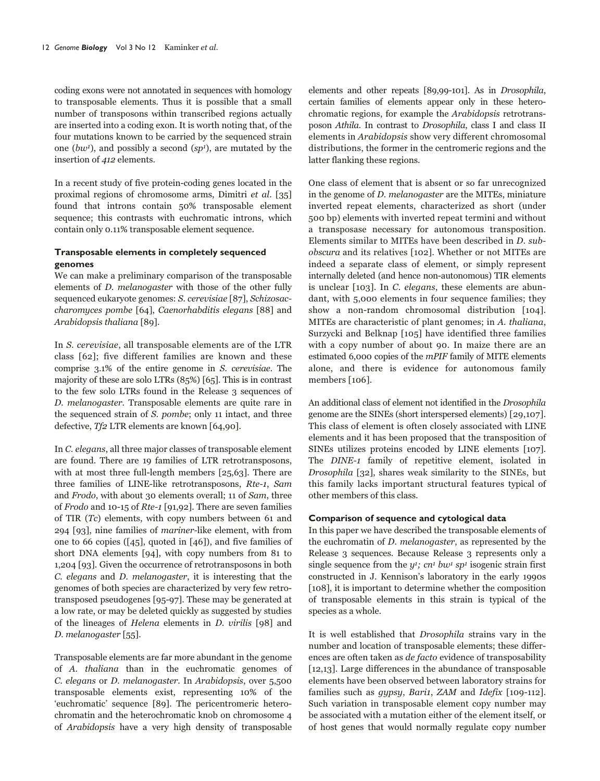coding exons were not annotated in sequences with homology to transposable elements. Thus it is possible that a small number of transposons within transcribed regions actually are inserted into a coding exon. It is worth noting that, of the four mutations known to be carried by the sequenced strain one  $(bw^1)$ , and possibly a second  $(sp^1)$ , are mutated by the insertion of 412 elements.

In a recent study of five protein-coding genes located in the proximal regions of chromosome arms, Dimitri et al. [35] found that introns contain 50% transposable element sequence; this contrasts with euchromatic introns, which contain only 0.11% transposable element sequence.

# **Transposable elements in completely sequenced genomes**

We can make a preliminary comparison of the transposable elements of D. melanogaster with those of the other fully sequenced eukaryote genomes: S. cerevisiae [87], Schizosaccharomyces pombe [64], Caenorhabditis elegans [88] and Arabidopsis thaliana [89].

In S. cerevisiae, all transposable elements are of the LTR class [62]; five different families are known and these comprise 3.1% of the entire genome in S. cerevisiae. The majority of these are solo LTRs (85%) [65]. This is in contrast to the few solo LTRs found in the Release 3 sequences of D. melanogaster. Transposable elements are quite rare in the sequenced strain of S. pombe; only 11 intact, and three defective, Tf2 LTR elements are known [64,90].

In C. elegans, all three major classes of transposable element are found. There are 19 families of LTR retrotransposons, with at most three full-length members [25,63]. There are three families of LINE-like retrotransposons, Rte-1, Sam and Frodo, with about 30 elements overall; 11 of Sam, three of Frodo and 10-15 of Rte-1 [91,92]. There are seven families of TIR (Tc) elements, with copy numbers between 61 and 294 [93], nine families of mariner-like element, with from one to 66 copies ([45], quoted in [46]), and five families of short DNA elements [94], with copy numbers from 81 to 1,204 [93]. Given the occurrence of retrotransposons in both C. elegans and D. melanogaster, it is interesting that the genomes of both species are characterized by very few retrotransposed pseudogenes [95-97]. These may be generated at a low rate, or may be deleted quickly as suggested by studies of the lineages of Helena elements in D. virilis [98] and D. melanogaster [55].

Transposable elements are far more abundant in the genome of A. thaliana than in the euchromatic genomes of C. elegans or D. melanogaster. In Arabidopsis, over 5,500 transposable elements exist, representing 10% of the 'euchromatic' sequence [89]. The pericentromeric heterochromatin and the heterochromatic knob on chromosome 4 of Arabidopsis have a very high density of transposable elements and other repeats [89,99-101]. As in Drosophila, certain families of elements appear only in these heterochromatic regions, for example the Arabidopsis retrotransposon Athila. In contrast to Drosophila, class I and class II elements in Arabidopsis show very different chromosomal distributions, the former in the centromeric regions and the latter flanking these regions.

One class of element that is absent or so far unrecognized in the genome of D. melanogaster are the MITEs, miniature inverted repeat elements, characterized as short (under 500 bp) elements with inverted repeat termini and without a transposase necessary for autonomous transposition. Elements similar to MITEs have been described in D. subobscura and its relatives [102]. Whether or not MITEs are indeed a separate class of element, or simply represent internally deleted (and hence non-autonomous) TIR elements is unclear [103]. In C. elegans, these elements are abundant, with 5,000 elements in four sequence families; they show a non-random chromosomal distribution [104]. MITEs are characteristic of plant genomes; in A. thaliana, Surzycki and Belknap [105] have identified three families with a copy number of about 90. In maize there are an estimated 6,000 copies of the mPIF family of MITE elements alone, and there is evidence for autonomous family members [106].

An additional class of element not identified in the Drosophila genome are the SINEs (short interspersed elements) [29,107]. This class of element is often closely associated with LINE elements and it has been proposed that the transposition of SINEs utilizes proteins encoded by LINE elements [107]. The DINE-1 family of repetitive element, isolated in Drosophila [32], shares weak similarity to the SINEs, but this family lacks important structural features typical of other members of this class.

# **Comparison of sequence and cytological data**

In this paper we have described the transposable elements of the euchromatin of D. melanogaster, as represented by the Release 3 sequences. Because Release 3 represents only a single sequence from the  $y^1$ ;  $cn^1$  bw<sup>1</sup> sp<sup>1</sup> isogenic strain first constructed in J. Kennison's laboratory in the early 1990s [108], it is important to determine whether the composition of transposable elements in this strain is typical of the species as a whole.

It is well established that Drosophila strains vary in the number and location of transposable elements; these differences are often taken as de facto evidence of transposability [12,13]. Large differences in the abundance of transposable elements have been observed between laboratory strains for families such as *gypsy*, *Bari1*, *ZAM* and *Idefix* [109-112]. Such variation in transposable element copy number may be associated with a mutation either of the element itself, or of host genes that would normally regulate copy number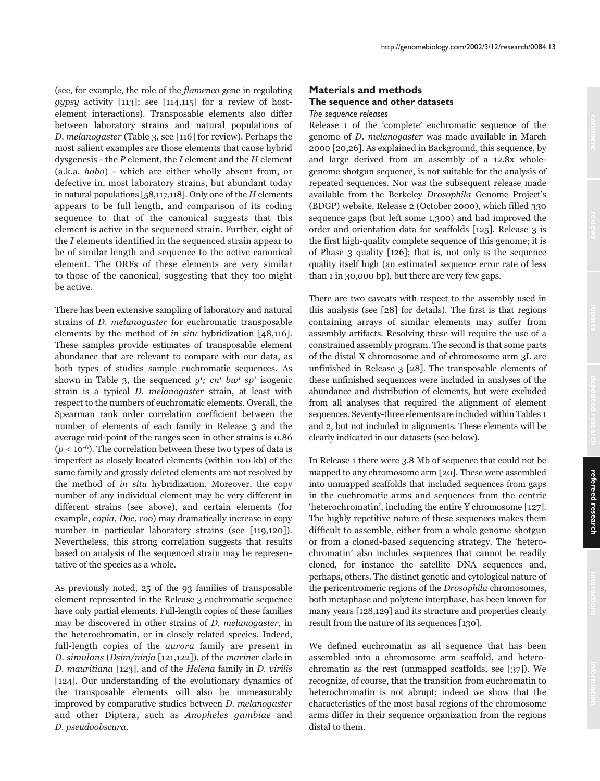(see, for example, the role of the flamenco gene in regulating qypsy activity  $[113]$ ; see  $[114, 115]$  for a review of hostelement interactions). Transposable elements also differ between laboratory strains and natural populations of D. melanogaster (Table 3, see [116] for review). Perhaps the most salient examples are those elements that cause hybrid dysgenesis - the  $P$  element, the  $I$  element and the  $H$  element (a.k.a. hobo) - which are either wholly absent from, or defective in, most laboratory strains, but abundant today in natural populations [58,117,118]. Only one of the  $H$  elements appears to be full length, and comparison of its coding sequence to that of the canonical suggests that this element is active in the sequenced strain. Further, eight of the I elements identified in the sequenced strain appear to be of similar length and sequence to the active canonical element. The ORFs of these elements are very similar to those of the canonical, suggesting that they too might be active.

There has been extensive sampling of laboratory and natural strains of D. melanogaster for euchromatic transposable elements by the method of in situ hybridization [48,116]. These samples provide estimates of transposable element abundance that are relevant to compare with our data, as both types of studies sample euchromatic sequences. As shown in Table 3, the sequenced  $y^1$ ;  $cn^1$  bw<sup>1</sup> sp<sup>1</sup> isogenic strain is a typical D. melanogaster strain, at least with respect to the numbers of euchromatic elements. Overall, the Spearman rank order correlation coefficient between the number of elements of each family in Release 3 and the average mid-point of the ranges seen in other strains is 0.86  $(p < 10^{-6})$ . The correlation between these two types of data is imperfect as closely located elements (within 100 kb) of the same family and grossly deleted elements are not resolved by the method of in situ hybridization. Moreover, the copy number of any individual element may be very different in different strains (see above), and certain elements (for example, copia, Doc, roo) may dramatically increase in copy number in particular laboratory strains (see [119,120]). Nevertheless, this strong correlation suggests that results based on analysis of the sequenced strain may be representative of the species as a whole.

As previously noted, 25 of the 93 families of transposable element represented in the Release 3 euchromatic sequence have only partial elements. Full-length copies of these families may be discovered in other strains of D. melanogaster, in the heterochromatin, or in closely related species. Indeed, full-length copies of the aurora family are present in D. simulans (Dsim/ninja [121,122]), of the mariner clade in D. mauritiana [123], and of the Helena family in D. virilis [124]. Our understanding of the evolutionary dynamics of the transposable elements will also be immeasurably improved by comparative studies between D. melanogaster and other Diptera, such as Anopheles gambiae and D. pseudoobscura.

# **Materials and methods The sequence and other datasets**

#### *The sequence releases*

Release 1 of the 'complete' euchromatic sequence of the genome of D. melanogaster was made available in March 2000 [20,26]. As explained in Background, this sequence, by and large derived from an assembly of a 12.8x wholegenome shotgun sequence, is not suitable for the analysis of repeated sequences. Nor was the subsequent release made available from the Berkeley Drosophila Genome Project's (BDGP) website, Release 2 (October 2000), which filled 330 sequence gaps (but left some 1,300) and had improved the order and orientation data for scaffolds [125]. Release 3 is the first high-quality complete sequence of this genome; it is of Phase 3 quality [126]; that is, not only is the sequence quality itself high (an estimated sequence error rate of less than 1 in 30,000 bp), but there are very few gaps.

There are two caveats with respect to the assembly used in this analysis (see [28] for details). The first is that regions containing arrays of similar elements may suffer from assembly artifacts. Resolving these will require the use of a constrained assembly program. The second is that some parts of the distal X chromosome and of chromosome arm 3L are unfinished in Release 3 [28]. The transposable elements of these unfinished sequences were included in analyses of the abundance and distribution of elements, but were excluded from all analyses that required the alignment of element sequences. Seventy-three elements are included within Tables 1 and 2, but not included in alignments. These elements will be clearly indicated in our datasets (see below).

In Release 1 there were 3.8 Mb of sequence that could not be mapped to any chromosome arm [20]. These were assembled into unmapped scaffolds that included sequences from gaps in the euchromatic arms and sequences from the centric 'heterochromatin', including the entire Y chromosome [127]. The highly repetitive nature of these sequences makes them difficult to assemble, either from a whole genome shotgun or from a cloned-based sequencing strategy. The 'heterochromatin' also includes sequences that cannot be readily cloned, for instance the satellite DNA sequences and, perhaps, others. The distinct genetic and cytological nature of the pericentromeric regions of the Drosophila chromosomes, both metaphase and polytene interphase, has been known for many years [128,129] and its structure and properties clearly result from the nature of its sequences [130].

We defined euchromatin as all sequence that has been assembled into a chromosome arm scaffold, and heterochromatin as the rest (unmapped scaffolds, see [37]). We recognize, of course, that the transition from euchromatin to heterochromatin is not abrupt; indeed we show that the characteristics of the most basal regions of the chromosome arms differ in their sequence organization from the regions distal to them.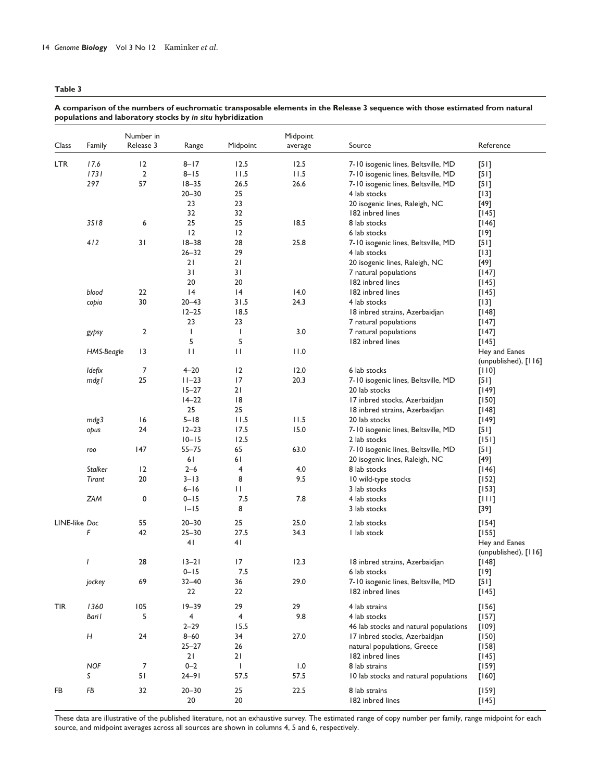**Table 3** 

|               |                | Number in |              |                         | Midpoint |                                       |                      |
|---------------|----------------|-----------|--------------|-------------------------|----------|---------------------------------------|----------------------|
| Class         | Family         | Release 3 | Range        | Midpoint                | average  | Source                                | Reference            |
| <b>LTR</b>    | 17.6           | 12        | $8 - 17$     | 12.5                    | 12.5     | 7-10 isogenic lines, Beltsville, MD   | $[51]$               |
|               | 1731           | 2         | $8 - 15$     | 11.5                    | 11.5     | 7-10 isogenic lines, Beltsville, MD   | $[51]$               |
|               | 297            | 57        | $18 - 35$    | 26.5                    | 26.6     | 7-10 isogenic lines, Beltsville, MD   | $[5]$                |
|               |                |           | $20 - 30$    | 25                      |          | 4 lab stocks                          | $[13]$               |
|               |                |           | 23           | 23                      |          | 20 isogenic lines, Raleigh, NC        | $[49]$               |
|               |                |           | 32           | 32                      |          | 182 inbred lines                      | $[145]$              |
|               | 3518           | 6         | 25           | 25                      | 18.5     | 8 lab stocks                          | $[146]$              |
|               |                |           | 12           | 12                      |          | 6 lab stocks                          | $[19]$               |
|               | 412            | 31        | $18 - 38$    | 28                      | 25.8     | 7-10 isogenic lines, Beltsville, MD   | $[5]$                |
|               |                |           | $26 - 32$    | 29                      |          | 4 lab stocks                          | $[13]$               |
|               |                |           | 21           | 21                      |          | 20 isogenic lines, Raleigh, NC        | $[49]$               |
|               |                |           | 31           | 31                      |          | 7 natural populations                 | $[147]$              |
|               |                |           | 20           | 20                      |          | 182 inbred lines                      | $[145]$              |
|               | blood          | 22        | 4            | 4                       | 14.0     | 182 inbred lines                      | $[145]$              |
|               |                | 30        | 20-43        | 31.5                    | 24.3     | 4 lab stocks                          |                      |
|               | copia          |           | $12 - 25$    | 18.5                    |          |                                       | $[13]$               |
|               |                |           |              |                         |          | 18 inbred strains, Azerbaidjan        | $[148]$              |
|               |                |           | 23           | 23                      |          | 7 natural populations                 | $[147]$              |
|               | gypsy          | 2         | $\mathbf{I}$ | $\mathbf{I}$            | 3.0      | 7 natural populations                 | $[147]$              |
|               |                |           | 5            | 5                       |          | 182 inbred lines                      | $[145]$              |
|               | HMS-Beagle     | 13        | П            | П                       | 11.0     |                                       | Hey and Eanes        |
|               |                |           |              |                         |          |                                       | (unpublished), [116] |
|               | Idefix         | 7         | $4 - 20$     | 2                       | 12.0     | 6 lab stocks                          | $[110]$              |
|               | mdgl           | 25        | $11 - 23$    | 17                      | 20.3     | 7-10 isogenic lines, Beltsville, MD   | $[51]$               |
|               |                |           | $15 - 27$    | 21                      |          | 20 lab stocks                         | $[149]$              |
|               |                |           | $14 - 22$    | 8                       |          | 17 inbred stocks, Azerbaidjan         | $[150]$              |
|               |                |           | 25           | 25                      |          | 18 inbred strains, Azerbaidjan        | [148]                |
|               | mdg3           | 16        | $5 - 18$     | 11.5                    | 11.5     | 20 lab stocks                         | $[149]$              |
|               | opus           | 24        | $12 - 23$    | 17.5                    | 15.0     | 7-10 isogenic lines, Beltsville, MD   | $[51]$               |
|               |                |           | $10 - 15$    | 12.5                    |          | 2 lab stocks                          | $[151]$              |
|               | roo            | 147       | $55 - 75$    | 65                      | 63.0     | 7-10 isogenic lines, Beltsville, MD   | $[51]$               |
|               |                |           | 61           | 61                      |          | 20 isogenic lines, Raleigh, NC        | $[49]$               |
|               | <b>Stalker</b> | 12        | $2 - 6$      | 4                       | 4.0      | 8 lab stocks                          | $[146]$              |
|               | Tirant         | 20        | $3 - 13$     | 8                       | 9.5      | 10 wild-type stocks                   | $[152]$              |
|               |                |           | $6 - 16$     | П                       |          | 3 lab stocks                          | $[153]$              |
|               | <b>ZAM</b>     | 0         | $0 - 15$     | 7.5                     | 7.8      | 4 lab stocks                          | $[111]$              |
|               |                |           | $I-I5$       | 8                       |          | 3 lab stocks                          | $[39]$               |
| LINE-like Doc |                | 55        | $20 - 30$    | 25                      | 25.0     | 2 lab stocks                          | $[154]$              |
|               | F              | 42        | $25 - 30$    | 27.5                    | 34.3     | I lab stock                           | $[155]$              |
|               |                |           | 41           | 41                      |          |                                       | Hey and Eanes        |
|               |                |           |              |                         |          |                                       | (unpublished), [116] |
|               | $\overline{I}$ | 28        | $13 - 21$    | 17                      | 12.3     | 18 inbred strains, Azerbaidjan        | [148]                |
|               |                |           | $0 - 15$     | $7.5\,$                 |          | 6 lab stocks                          | $[19]$               |
|               |                | 69        |              | 36                      | 29.0     | 7-10 isogenic lines, Beltsville, MD   |                      |
|               | jockey         |           | $32 - 40$    |                         |          |                                       | $[51]$               |
|               |                |           | 22           | 22                      |          | 182 inbred lines                      | $[145]$              |
| <b>TIR</b>    | 1360           | 105       | $19 - 39$    | 29                      | 29       | 4 lab strains                         | $[156]$              |
|               | Bari I         | 5         | 4            | $\overline{\mathbf{4}}$ | 9.8      | 4 lab stocks                          | $[157]$              |
|               |                |           | $2 - 29$     | 15.5                    |          | 46 lab stocks and natural populations | $[109]$              |
|               | H              | 24        | $8 - 60$     | 34                      | 27.0     | 17 inbred stocks, Azerbaidjan         | $[150]$              |
|               |                |           | $25 - 27$    | 26                      |          | natural populations, Greece           | $[158]$              |
|               |                |           | 21           | 21                      |          | 182 inbred lines                      | $[145]$              |
|               | <b>NOF</b>     | 7         | $0 - 2$      | $\mathbf{I}$            | 1.0      | 8 lab strains                         | $[159]$              |
|               | S              | 51        | $24 - 91$    | 57.5                    | 57.5     | 10 lab stocks and natural populations | $[160]$              |
|               |                |           |              |                         |          |                                       |                      |
| FB            | FB             | 32        | $20 - 30$    | 25                      | 22.5     | 8 lab strains                         | $[159]$              |
|               |                |           | 20           | $20\,$                  |          | 182 inbred lines                      | $[145]$              |

# **A comparison of the numbers of euchromatic transposable elements in the Release 3 sequence with those estimated from natural populations and laboratory stocks by** *in situ* **hybridization**

These data are illustrative of the published literature, not an exhaustive survey. The estimated range of copy number per family, range midpoint for each source, and midpoint averages across all sources are shown in columns 4, 5 and 6, respectively.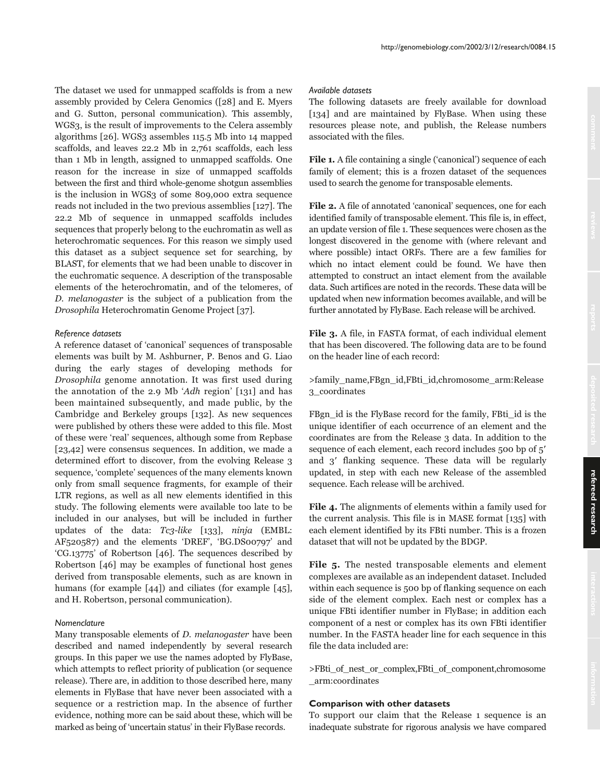The dataset we used for unmapped scaffolds is from a new assembly provided by Celera Genomics ([28] and E. Myers and G. Sutton, personal communication). This assembly, WGS3, is the result of improvements to the Celera assembly algorithms [26]. WGS3 assembles 115.5 Mb into 14 mapped scaffolds, and leaves 22.2 Mb in 2,761 scaffolds, each less than 1 Mb in length, assigned to unmapped scaffolds. One reason for the increase in size of unmapped scaffolds between the first and third whole-genome shotgun assemblies is the inclusion in WGS3 of some 809,000 extra sequence reads not included in the two previous assemblies [127]. The 22.2 Mb of sequence in unmapped scaffolds includes sequences that properly belong to the euchromatin as well as heterochromatic sequences. For this reason we simply used this dataset as a subject sequence set for searching, by BLAST, for elements that we had been unable to discover in the euchromatic sequence. A description of the transposable elements of the heterochromatin, and of the telomeres, of D. melanogaster is the subject of a publication from the Drosophila Heterochromatin Genome Project [37].

### *Reference datasets*

A reference dataset of 'canonical' sequences of transposable elements was built by M. Ashburner, P. Benos and G. Liao during the early stages of developing methods for Drosophila genome annotation. It was first used during the annotation of the 2.9 Mb 'Adh region' [131] and has been maintained subsequently, and made public, by the Cambridge and Berkeley groups [132]. As new sequences were published by others these were added to this file. Most of these were 'real' sequences, although some from Repbase [23,42] were consensus sequences. In addition, we made a determined effort to discover, from the evolving Release 3 sequence, 'complete' sequences of the many elements known only from small sequence fragments, for example of their LTR regions, as well as all new elements identified in this study. The following elements were available too late to be included in our analyses, but will be included in further updates of the data: Tc3-like [133], ninja (EMBL: AF520587) and the elements 'DREF', 'BG.DS00797' and 'CG.13775' of Robertson [46]. The sequences described by Robertson [46] may be examples of functional host genes derived from transposable elements, such as are known in humans (for example [44]) and ciliates (for example [45], and H. Robertson, personal communication).

#### *Nomenclature*

Many transposable elements of D. melanogaster have been described and named independently by several research groups. In this paper we use the names adopted by FlyBase, which attempts to reflect priority of publication (or sequence release). There are, in addition to those described here, many elements in FlyBase that have never been associated with a sequence or a restriction map. In the absence of further evidence, nothing more can be said about these, which will be marked as being of 'uncertain status' in their FlyBase records.

#### *Available datasets*

The following datasets are freely available for download [134] and are maintained by FlyBase. When using these resources please note, and publish, the Release numbers associated with the files.

File 1. A file containing a single ('canonical') sequence of each family of element; this is a frozen dataset of the sequences used to search the genome for transposable elements.

File 2. A file of annotated 'canonical' sequences, one for each identified family of transposable element. This file is, in effect, an update version of file 1. These sequences were chosen as the longest discovered in the genome with (where relevant and where possible) intact ORFs. There are a few families for which no intact element could be found. We have then attempted to construct an intact element from the available data. Such artifices are noted in the records. These data will be updated when new information becomes available, and will be further annotated by FlyBase. Each release will be archived.

File 3. A file, in FASTA format, of each individual element that has been discovered. The following data are to be found on the header line of each record:

>family\_name,FBgn\_id,FBti\_id,chromosome\_arm:Release 3\_coordinates

FBgn\_id is the FlyBase record for the family, FBti\_id is the unique identifier of each occurrence of an element and the coordinates are from the Release 3 data. In addition to the sequence of each element, each record includes 500 bp of 5 and  $3'$  flanking sequence. These data will be regularly updated, in step with each new Release of the assembled sequence. Each release will be archived.

File 4. The alignments of elements within a family used for the current analysis. This file is in MASE format [135] with each element identified by its FBti number. This is a frozen dataset that will not be updated by the BDGP.

File 5. The nested transposable elements and element complexes are available as an independent dataset. Included within each sequence is 500 bp of flanking sequence on each side of the element complex. Each nest or complex has a unique FBti identifier number in FlyBase; in addition each component of a nest or complex has its own FBti identifier number. In the FASTA header line for each sequence in this file the data included are:

>FBti\_of\_nest\_or\_complex,FBti\_of\_component,chromosome \_arm:coordinates

### **Comparison with other datasets**

To support our claim that the Release 1 sequence is an inadequate substrate for rigorous analysis we have compared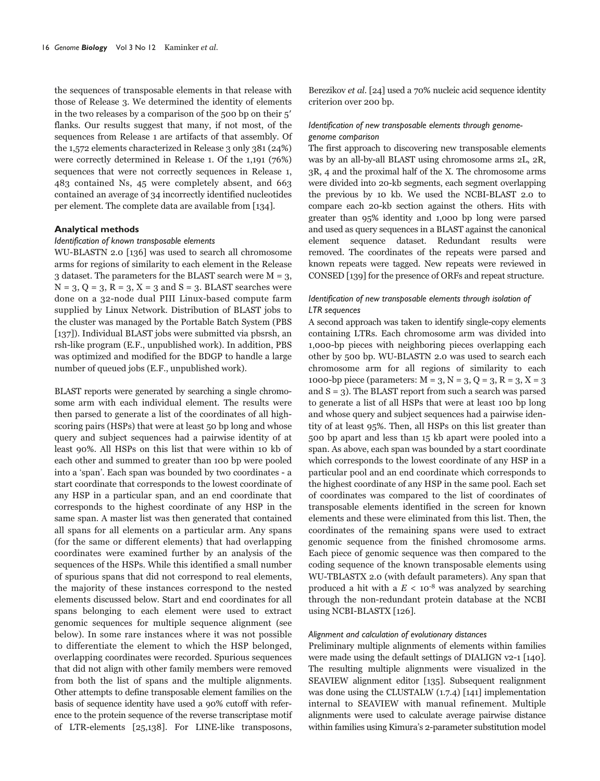the sequences of transposable elements in that release with those of Release 3. We determined the identity of elements in the two releases by a comparison of the 500 bp on their 5 flanks. Our results suggest that many, if not most, of the sequences from Release 1 are artifacts of that assembly. Of the 1,572 elements characterized in Release 3 only 381 (24%) were correctly determined in Release 1. Of the 1,191 (76%) sequences that were not correctly sequences in Release 1, 483 contained Ns, 45 were completely absent, and 663 contained an average of 34 incorrectly identified nucleotides per element. The complete data are available from [134].

# **Analytical methods**

#### *Identification of known transposable elements*

WU-BLASTN 2.0 [136] was used to search all chromosome arms for regions of similarity to each element in the Release 3 dataset. The parameters for the BLAST search were  $M = 3$ ,  $N = 3$ ,  $Q = 3$ ,  $R = 3$ ,  $X = 3$  and  $S = 3$ . BLAST searches were done on a 32-node dual PIII Linux-based compute farm supplied by Linux Network. Distribution of BLAST jobs to the cluster was managed by the Portable Batch System (PBS [137]). Individual BLAST jobs were submitted via pbsrsh, an rsh-like program (E.F., unpublished work). In addition, PBS was optimized and modified for the BDGP to handle a large number of queued jobs (E.F., unpublished work).

BLAST reports were generated by searching a single chromosome arm with each individual element. The results were then parsed to generate a list of the coordinates of all highscoring pairs (HSPs) that were at least 50 bp long and whose query and subject sequences had a pairwise identity of at least 90%. All HSPs on this list that were within 10 kb of each other and summed to greater than 100 bp were pooled into a 'span'. Each span was bounded by two coordinates - a start coordinate that corresponds to the lowest coordinate of any HSP in a particular span, and an end coordinate that corresponds to the highest coordinate of any HSP in the same span. A master list was then generated that contained all spans for all elements on a particular arm. Any spans (for the same or different elements) that had overlapping coordinates were examined further by an analysis of the sequences of the HSPs. While this identified a small number of spurious spans that did not correspond to real elements, the majority of these instances correspond to the nested elements discussed below. Start and end coordinates for all spans belonging to each element were used to extract genomic sequences for multiple sequence alignment (see below). In some rare instances where it was not possible to differentiate the element to which the HSP belonged, overlapping coordinates were recorded. Spurious sequences that did not align with other family members were removed from both the list of spans and the multiple alignments. Other attempts to define transposable element families on the basis of sequence identity have used a 90% cutoff with reference to the protein sequence of the reverse transcriptase motif of LTR-elements [25,138]. For LINE-like transposons, Berezikov et al. [24] used a 70% nucleic acid sequence identity criterion over 200 bp.

# *Identification of new transposable elements through genomegenome comparison*

The first approach to discovering new transposable elements was by an all-by-all BLAST using chromosome arms 2L, 2R, 3R, 4 and the proximal half of the X. The chromosome arms were divided into 20-kb segments, each segment overlapping the previous by 10 kb. We used the NCBI-BLAST 2.0 to compare each 20-kb section against the others. Hits with greater than 95% identity and 1,000 bp long were parsed and used as query sequences in a BLAST against the canonical element sequence dataset. Redundant results were removed. The coordinates of the repeats were parsed and known repeats were tagged. New repeats were reviewed in CONSED [139] for the presence of ORFs and repeat structure.

# *Identification of new transposable elements through isolation of LTR sequences*

A second approach was taken to identify single-copy elements containing LTRs. Each chromosome arm was divided into 1,000-bp pieces with neighboring pieces overlapping each other by 500 bp. WU-BLASTN 2.0 was used to search each chromosome arm for all regions of similarity to each 1000-bp piece (parameters:  $M = 3$ ,  $N = 3$ ,  $Q = 3$ ,  $R = 3$ ,  $X = 3$ and  $S = 3$ ). The BLAST report from such a search was parsed to generate a list of all HSPs that were at least 100 bp long and whose query and subject sequences had a pairwise identity of at least 95%. Then, all HSPs on this list greater than 500 bp apart and less than 15 kb apart were pooled into a span. As above, each span was bounded by a start coordinate which corresponds to the lowest coordinate of any HSP in a particular pool and an end coordinate which corresponds to the highest coordinate of any HSP in the same pool. Each set of coordinates was compared to the list of coordinates of transposable elements identified in the screen for known elements and these were eliminated from this list. Then, the coordinates of the remaining spans were used to extract genomic sequence from the finished chromosome arms. Each piece of genomic sequence was then compared to the coding sequence of the known transposable elements using WU-TBLASTX 2.0 (with default parameters). Any span that produced a hit with a  $E < 10^{-8}$  was analyzed by searching through the non-redundant protein database at the NCBI using NCBI-BLASTX [126].

#### *Alignment and calculation of evolutionary distances*

Preliminary multiple alignments of elements within families were made using the default settings of DIALIGN v2-1 [140]. The resulting multiple alignments were visualized in the SEAVIEW alignment editor [135]. Subsequent realignment was done using the CLUSTALW (1.7.4) [141] implementation internal to SEAVIEW with manual refinement. Multiple alignments were used to calculate average pairwise distance within families using Kimura's 2-parameter substitution model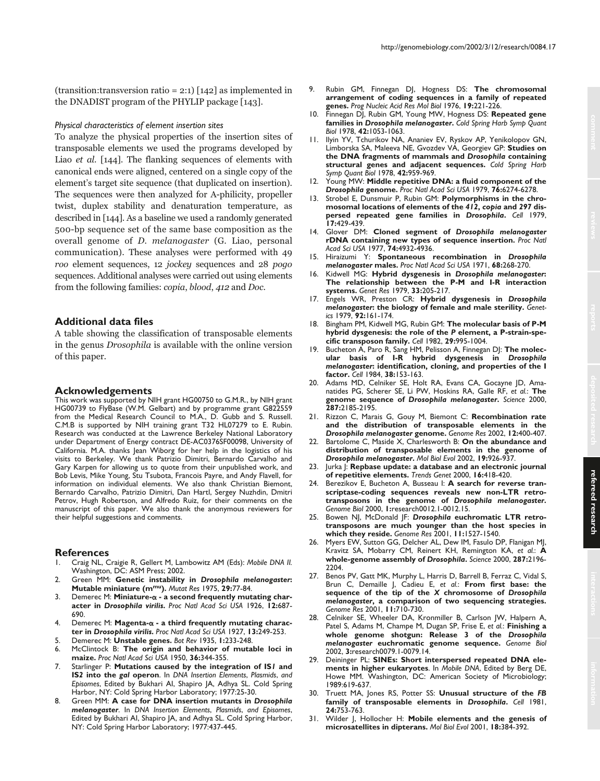(transition: transversion ratio = 2:1)  $\lceil 142 \rceil$  as implemented in the DNADIST program of the PHYLIP package [143].

#### *Physical characteristics of element insertion sites*

To analyze the physical properties of the insertion sites of transposable elements we used the programs developed by Liao et al. [144]. The flanking sequences of elements with canonical ends were aligned, centered on a single copy of the element's target site sequence (that duplicated on insertion). The sequences were then analyzed for A-philicity, propeller twist, duplex stability and denaturation temperature, as described in [144]. As a baseline we used a randomly generated 500-bp sequence set of the same base composition as the overall genome of D. melanogaster (G. Liao, personal communication). These analyses were performed with 49 roo element sequences, 12 jockey sequences and 28 pogo sequences. Additional analyses were carried out using elements from the following families: copia, blood, 412 and Doc.

# **Additional data files**

A table showing the classification of transposable elements in the genus Drosophila is available with the online version of this paper.

#### **Acknowledgements**

This work was supported by NIH grant HG00750 to G.M.R., by NIH grant HG00739 to FlyBase (W.M. Gelbart) and by programme grant G822559 from the Medical Research Council to M.A., D. Gubb and S. Russell. C.M.B is supported by NIH training grant T32 HL07279 to E. Rubin. Research was conducted at the Lawrence Berkeley National Laboratory under Department of Energy contract DE-AC0376SF00098, University of California. M.A. thanks Jean Wiborg for her help in the logistics of his visits to Berkeley. We thank Patrizio Dimitri, Bernardo Carvalho and Gary Karpen for allowing us to quote from their unpublished work, and Bob Levis, Mike Young, Stu Tsubota, Francois Payre, and Andy Flavell, for information on individual elements. We also thank Christian Biemont, Bernardo Carvalho, Patrizio Dimitri, Dan Hartl, Sergey Nuzhdin, Dmitri Petrov, Hugh Robertson, and Alfredo Ruiz, for their comments on the manuscript of this paper. We also thank the anonymous reviewers for their helpful suggestions and comments.

### **References**

- 1. Craig NL, Craigie R, Gellert M, Lambowitz AM (Eds): *Mobile DNA II.* Washington, DC: ASM Press; 2002.
- 2. Green MM: **Genetic instability in** *Drosophila melanogaster***: Mutable miniature (mmu).** *Mutat Res* 1975, **29:**77-84.
- 3. Demerec M: **Miniature- a second frequently mutating character in** *Drosophila virilis***.** *Proc Natl Acad Sci USA* 1926, **12:**687- 690.
- 4. Demerec M: **Magenta- a third frequently mutating character in** *Drosophila virilis***.** *Proc Natl Acad Sci USA* 1927, **13:**249-253.
- 5. Demerec M: **Unstable genes.** *Bot Rev* 1935, **1:**233-248.
- 6. McClintock B: **The origin and behavior of mutable loci in maize.** *Proc Natl Acad Sci USA* 1950, **36:**344-355.
- 7. Starlinger P: **Mutations caused by the integration of IS***1* **and IS***2* **into the** *gal* **operon**. In *DNA Insertion Elements*, *Plasmids*, *and Episomes*, Edited by Bukhari AI, Shapiro JA, Adhya SL. Cold Spring Harbor, NY: Cold Spring Harbor Laboratory; 1977:25-30.
- 8. Green MM: **A case for DNA insertion mutants in** *Drosophila melanogaster*. In *DNA Insertion Elements*, *Plasmids*, *and Episomes*, Edited by Bukhari AI, Shapiro JA, and Adhya SL. Cold Spring Harbor, NY: Cold Spring Harbor Laboratory; 1977:437-445.
- 9. Rubin GM, Finnegan DJ, Hogness DS: **The chromosomal arrangement of coding sequences in a family of repeated genes.** *Prog Nucleic Acid Res Mol Biol* 1976, **19:**221-226.
- 10. Finnegan DJ, Rubin GM, Young MW, Hogness DS: **Repeated gene families in** *Drosophila melanogaster***.** *Cold Spring Harb Symp Quant Biol* 1978, **42:**1053-1063.
- 11. Ilyin YV, Tchurikov NA, Ananiev EV, Ryskov AP, Yenikolopov GN, Limborska SA, Maleeva NE, Gvozdev VA, Georgiev GP: **Studies on the DNA fragments of mammals and** *Drosophila* **containing structural genes and adjacent sequences.** *Cold Spring Harb Symp Quant Biol* 1978, **42:**959-969.
- 12. Young MW: **Middle repetitive DNA: a fluid component of the** *Drosophila* **genome.** *Proc Natl Acad Sci USA* 1979, **76:**6274-6278.
- 13. Strobel E, Dunsmuir P, Rubin GM: **Polymorphisms in the chromosomal locations of elements of the** *412***,** *copia* **and** *297* **dispersed repeated gene families in** *Drosophila***.** *Cell* 1979, **17:**429-439.
- 14. Glover DM: **Cloned segment of** *Drosophila melanogaster* **rDNA containing new types of sequence insertion.** *Proc Natl Acad Sci USA* 1977, **74:**4932-4936.
- 15. Hiraizumi Y: **Spontaneous recombination in** *Drosophila melanogaster* **males.** *Proc Natl Acad Sci USA* 1971, **68:**268-270.
- 16. Kidwell MG: **Hybrid dysgenesis in** *Drosophila melanogaster***: The relationship between the P-M and I-R interaction systems.** *Genet Res* 1979, **33:**205-217.
- 17. Engels WR, Preston CR: **Hybrid dysgenesis in** *Drosophila melanogaster***: the biology of female and male sterility.** *Genetics* 1979, **92:**161-174.
- 18. Bingham PM, Kidwell MG, Rubin GM: **The molecular basis of P-M hybrid dysgenesis: the role of the** *P* **element, a P-strain-specific transposon family.** *Cell* 1982, **29:**995-1004.
- 19. Bucheton A, Paro R, Sang HM, Pelisson A, Finnegan DJ: **The molecular basis of I-R hybrid dysgenesis in** *Drosophila melanogaster***: identification, cloning, and properties of the I factor.** *Cell* 1984, **38:**153-163.
- 20. Adams MD, Celniker SE, Holt RA, Evans CA, Gocayne JD, Amanatides PG, Scherer SE, Li PW, Hoskins RA, Galle RF, *et al.*: **The genome sequence of** *Drosophila melanogaster***.** *Science* 2000, **287:**2185-2195.
- 21. Rizzon C, Marais G, Gouy M, Biemont C: **Recombination rate and the distribution of transposable elements in the** *Drosophila melanogaster* **genome.** *Genome Res* 2002, **12:**400-407.
- 22. Bartolome C, Maside X, Charlesworth B: **On the abundance and distribution of transposable elements in the genome of** *Drosophila melanogaster***.** *Mol Biol Evol* 2002, **19:**926-937.
- 23. Jurka J: **Repbase update: a database and an electronic journal of repetitive elements.** *Trends Genet* 2000, **16:**418-420.
- 24. Berezikov E, Bucheton A, Busseau I: **A search for reverse transcriptase-coding sequences reveals new non-LTR retrotransposons in the genome of** *Drosophila melanogaster***.** *Genome Biol* 2000, **1:**research0012.1-0012.15.
- 25. Bowen NJ, McDonald JF: *Drosophila* **euchromatic LTR retrotransposons are much younger than the host species in which they reside.** *Genome Res* 2001, **11:**1527-1540.
- 26. Myers EW, Sutton GG, Delcher AL, Dew IM, Fasulo DP, Flanigan MJ, Kravitz SA, Mobarry CM, Reinert KH, Remington KA, *et al.*: **A whole-genome assembly of** *Drosophila***.** *Science* 2000, **287:**2196- 2204.
- 27. Benos PV, Gatt MK, Murphy L, Harris D, Barrell B, Ferraz C, Vidal S, Brun C, Demaille J, Cadieu E, *et al.*: **From first base: the sequence of the tip of the** *X* **chromosome of** *Drosophila melanogaster***, a comparison of two sequencing strategies.** *Genome Res* 2001, **11:**710-730.
- 28. Celniker SE, Wheeler DA, Kronmiller B, Carlson JW, Halpern A, Patel S, Adams M, Champe M, Dugan SP, Frise E, *et al.*: **Finishing a whole genome shotgun: Release 3 of the** *Drosophila melanogaster* **euchromatic genome sequence.** *Genome Biol* 2002, **3:**research0079.1-0079.14.
- 29. Deininger PL: **SINEs: Short interspersed repeated DNA elements in higher eukaryotes**. In *Mobile DNA*, Edited by Berg DE, Howe MM. Washington, DC: American Society of Microbiology; 1989:619-637.
- 30. Truett MA, Jones RS, Potter SS: **Unusual structure of the** *FB* **family of transposable elements in** *Drosophila***.** *Cell* 1981, **24:**753-763.
- 31. Wilder J, Hollocher H: **Mobile elements and the genesis of microsatellites in dipterans.** *Mol Biol Evol* 2001, **18:**384-392.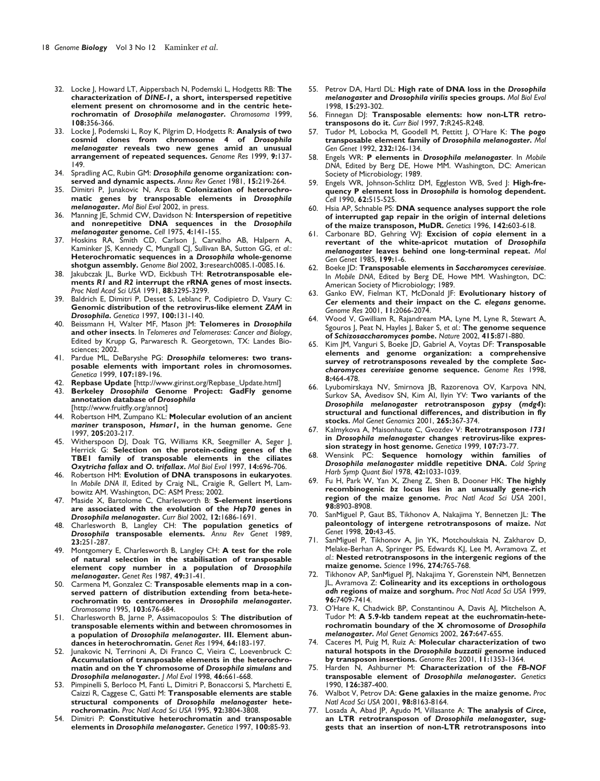- 32. Locke J, Howard LT, Aippersbach N, Podemski L, Hodgetts RB: **The characterization of** *DINE-1***, a short, interspersed repetitive element present on chromosome and in the centric heterochromatin of** *Drosophila melanogaster***.** *Chromosoma* 1999, **108:**356-366.
- 33. Locke J, Podemski L, Roy K, Pilgrim D, Hodgetts R: **Analysis of two cosmid clones from chromosome 4 of** *Drosophila melanogaster* **reveals two new genes amid an unusual arrangement of repeated sequences.** *Genome Res* 1999, **9:**137- 149.
- 34. Spradling AC, Rubin GM: *Drosophila* **genome organization: conserved and dynamic aspects.** *Annu Rev Genet* 1981, **15:**219-264.
- 35. Dimitri P, Junakovic N, Arca B: **Colonization of heterochromatic genes by transposable elements in** *Drosophila melanogaster***.** *Mol Biol Evol* 2002, in press.
- 36. Manning JE, Schmid CW, Davidson N: **Interspersion of repetitive and nonrepetitive DNA sequences in the** *Drosophila melanogaster* **genome.** *Cell* 1975, **4:**141-155.
- 37. Hoskins RA, Smith CD, Carlson J, Carvalho AB, Halpern A, Kaminker JS, Kennedy C, Mungall CJ, Sullivan BA, Sutton GG, *et al.*: **Heterochromatic sequences in a** *Drosophila* **whole-genome shotgun assembly.** *Genome Biol* 2002, **3:**research0085.1-0085.16.
- 38. Jakubczak JL, Burke WD, Eickbush TH: **Retrotransposable elements** *R1* **and** *R2* **interrupt the rRNA genes of most insects.** *Proc Natl Acad Sci USA* 1991, **88:**3295-3299.
- 39. Baldrich E, Dimitri P, Desset S, Leblanc P, Codipietro D, Vaury C: **Genomic distribution of the retrovirus-like element** *ZAM* **in** *Drosophila***.** *Genetica* 1997, **100:**131-140.
- 40. Beissmann H, Walter MF, Mason JM: **Telomeres in** *Drosophila* **and other insects**. In *Telomeres and Telomerases: Cancer and Biology*, Edited by Krupp G, Parwaresch R. Georgetown, TX: Landes Biosciences; 2002.
- 41. Pardue ML, DeBaryshe PG: *Drosophila* **telomeres: two transposable elements with important roles in chromosomes.** *Genetica* 1999, **107:**189-196.
- 42. **Repbase Update** [http://www.girinst.org/Repbase\_Update.html]
- 43. **Berkeley** *Drosophila* **Genome Project: GadFly genome annotation database of** *Drosophila* [http://www.fruitfly.org/annot]
- 44. Robertson HM, Zumpano KL: **Molecular evolution of an ancient** *mariner* **transposon,** *Hsmar1***, in the human genome.** *Gene* 1997, **205:**203-217.
- 45. Witherspoon DJ, Doak TG, Williams KR, Seegmiller A, Seger J, Herrick G: **Selection on the protein-coding genes of the TBE1 family of transposable elements in the ciliates** *Oxytricha fallax* **and** *O. trifallax***.** *Mol Biol Evol* 1997, **14:**696-706.
- 46. Robertson HM: **Evolution of DNA transposons in eukaryotes**. In *Mobile DNA II*, Edited by Craig NL, Craigie R, Gellert M, Lambowitz AM. Washington, DC: ASM Press; 2002.
- 47. Maside X, Bartolome C, Charlesworth B: **S-element insertions are associated with the evolution of the** *Hsp70* **genes in** *Drosophila melanogaster***.** *Curr Biol* 2002, **12:**1686-1691.
- 48. Charlesworth B, Langley CH: **The population genetics of** *Drosophila* **transposable elements.** *Annu Rev Genet* 1989, **23:**251-287.
- 49. Montgomery E, Charlesworth B, Langley CH: **A test for the role of natural selection in the stabilisation of transposable element copy number in a population of** *Drosophila melanogaster***.** *Genet Res* 1987, **49:**31-41.
- 50. Carmena M, Gonzalez C: **Transposable elements map in a conserved pattern of distribution extending from beta-heterochromatin to centromeres in** *Drosophila melanogaster***.** *Chromosoma* 1995, **103:**676-684.
- 51. Charlesworth B, Jarne P, Assimacopoulos S: **The distribution of transposable elements within and between chromosomes in a population of** *Drosophila melanogaster***. III. Element abundances in heterochromatin.** *Genet Res* 1994, **64:**183-197.
- 52. Junakovic N, Terrinoni A, Di Franco C, Vieira C, Loevenbruck C: **Accumulation of transposable elements in the heterochromatin and on the Y chromosome of** *Drosophila simulans* **and** *Drosophila melanogaster***.** *J Mol Evol* 1998, **46:**661-668.
- 53. Pimpinelli S, Berloco M, Fanti L, Dimitri P, Bonaccorsi S, Marchetti E, Caizzi R, Caggese C, Gatti M: **Transposable elements are stable structural components of** *Drosophila melanogaster* **heterochromatin.** *Proc Natl Acad Sci USA* 1995, **92:**3804-3808.
- 54. Dimitri P: **Constitutive heterochromatin and transposable elements in** *Drosophila melanogaster***.** *Genetica* 1997, **100:**85-93.
- 55. Petrov DA, Hartl DL: **High rate of DNA loss in the** *Drosophila melanogaster* **and** *Drosophila virilis* **species groups.** *Mol Biol Evol* 1998, **15:**293-302.
- 56. Finnegan D|: Transposable elements: how non-LTR retro**transposons do it.** *Curr Biol* 1997, **7:**R245-R248.
- 57. Tudor M, Lobocka M, Goodell M, Pettitt J, O'Hare K: **The** *pogo* **transposable element family of** *Drosophila melanogaster***.** *Mol Gen Genet* 1992, **232:**126-134.
- 58. Engels WR: **P elements in** *Drosophila melanogaster*. In *Mobile DNA*, Edited by Berg DE, Howe MM. Washington, DC: American Society of Microbiology; 1989.
- 59. Engels WR, Johnson-Schlitz DM, Eggleston WB, Sved J: **High-frequency P element loss in** *Drosophila* **is homolog dependent.** *Cell* 1990, **62:**515-525.
- 60. Hsia AP, Schnable PS: **DNA sequence analyses support the role of interrupted gap repair in the origin of internal deletions of the maize transposon, MuDR.** *Genetics* 1996, **142:**603-618.
- 61. Carbonare BD, Gehring WJ: **Excision of** *copia* **element in a revertant of the white-apricot mutation of** *Drosophila melanogaster* **leaves behind one long-terminal repeat.** *Mol Gen Genet* 1985, **199:**1-6.
- 62. Boeke JD: **Transposable elements in** *Saccharomyces cerevisiae*. In *Mobile DNA*, Edited by Berg DE, Howe MM. Washington, DC: American Society of Microbiology; 1989.
- 63. Ganko EW, Fielman KT, McDonald JF: **Evolutionary history of** *Cer* **elements and their impact on the** *C. elegans* **genome.** *Genome Res* 2001, **11:**2066-2074.
- 64. Wood V, Gwilliam R, Rajandream MA, Lyne M, Lyne R, Stewart A, Sgouros J, Peat N, Hayles J, Baker S, *et al.*: **The genome sequence of** *Schizosaccharomyces pombe***.** *Nature* 2002, **415:**871-880.
- 65. Kim JM, Vanguri S, Boeke JD, Gabriel A, Voytas DF: **Transposable elements and genome organization: a comprehensive survey of retrotransposons revealed by the complete** *Saccharomyces cerevisiae* **genome sequence.** *Genome Res* 1998, **8:**464-478.
- 66. Lyubomirskaya NV, Smirnova JB, Razorenova OV, Karpova NN, Surkov SA, Avedisov SN, Kim AI, Ilyin YV: **Two variants of the** *Drosophila melanogaster* **retrotransposon** *gypsy* **(***mdg4***): structural and functional differences, and distribution in fly stocks.** *Mol Genet Genomics* 2001, **265:**367-374.
- 67. Kalmykova A, Maisonhaute C, Gvozdev V: **Retrotransposon** *1731* **in** *Drosophila melanogaster* **changes retrovirus-like expression strategy in host genome.** *Genetica* 1999, **107:**73-77.
- 68. Wensink PC: **Sequence homology within families of** *Drosophila melanogaster* **middle repetitive DNA.** *Cold Spring Harb Symp Quant Biol* 1978, **42:**1033-1039.
- 69. Fu H, Park W, Yan X, Zheng Z, Shen B, Dooner HK: **The highly recombinogenic** *bz* **locus lies in an unusually gene-rich region of the maize genome.** *Proc Natl Acad Sci USA* 2001, **98:**8903-8908.
- 70. SanMiguel P, Gaut BS, Tikhonov A, Nakajima Y, Bennetzen JL: **The paleontology of intergene retrotransposons of maize.** *Nat Genet* 1998, **20:**43-45.
- 71. SanMiguel P, Tikhonov A, Jin YK, Motchoulskaia N, Zakharov D, Melake-Berhan A, Springer PS, Edwards KJ, Lee M, Avramova Z, *et al.*: **Nested retrotransposons in the intergenic regions of the maize genome.** *Science* 1996, **274:**765-768.
- 72. Tikhonov AP, SanMiguel PJ, Nakajima Y, Gorenstein NM, Bennetzen JL, Avramova Z: **Colinearity and its exceptions in orthologous** *adh* **regions of maize and sorghum.** *Proc Natl Acad Sci USA* 1999, **96:**7409-7414.
- 73. O'Hare K, Chadwick BP, Constantinou A, Davis AJ, Mitchelson A, Tudor M: **A 5.9-kb tandem repeat at the euchromatin-heterochromatin boundary of the X chromosome of** *Drosophila melanogaster***.** *Mol Genet Genomics* 2002, **267:**647-655.
- 74. Caceres M, Puig M, Ruiz A: **Molecular characterization of two natural hotspots in the** *Drosophila buzzatii* **genome induced by transposon insertions.** *Genome Res* 2001, **11:**1353-1364.
- 75. Harden N, Ashburner M: **Characterization of the** *FB-NOF* **transposable element of** *Drosophila melanogaster***.** *Genetics* 1990, **126:**387-400.
- 76. Walbot V, Petrov DA: **Gene galaxies in the maize genome.** *Proc Natl Acad Sci USA* 2001, **98:**8163-8164.
- 77. Losada A, Abad JP, Agudo M, Villasante A: **The analysis of** *Circe***, an LTR retrotransposon of** *Drosophila melanogaster***, suggests that an insertion of non-LTR retrotransposons into**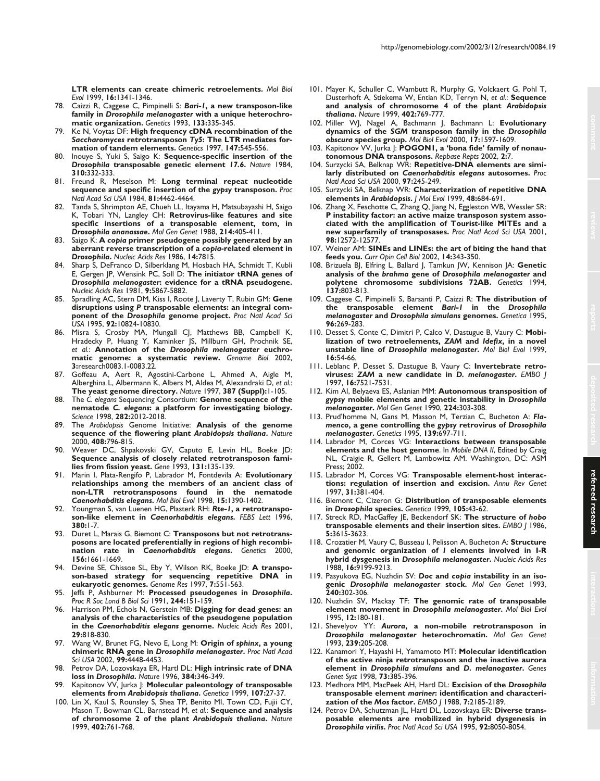- 78. Caizzi R, Caggese C, Pimpinelli S: *Bari-1***, a new transposon-like family in** *Drosophila melanogaster* **with a unique heterochromatic organization.** *Genetics* 1993, **133:**335-345.
- 79. Ke N, Voytas DF: **High frequency cDNA recombination of the** *Saccharomyces* **retrotransposon** *Ty5***: The LTR mediates formation of tandem elements.** *Genetics* 1997, **147:**545-556.
- 80. Inouye S, Yuki S, Saigo K: **Sequence-specific insertion of the** *Drosophila* **transposable genetic element** *17.6***.** *Nature* 1984, **310:**332-333.
- 81. Freund R, Meselson M: **Long terminal repeat nucleotide sequence and specific insertion of the** *gypsy* **transposon.** *Proc Natl Acad Sci USA* 1984, **81:**4462-4464.
- 82. Tanda S, Shrimpton AE, Chueh LL, Itayama H, Matsubayashi H, Saigo K, Tobari YN, Langley CH: **Retrovirus-like features and site specific insertions of a transposable element, tom, in** *Drosophila ananassae***.** *Mol Gen Genet* 1988, **214:**405-411.
- 83. Saigo K: **A** *copia* **primer pseudogene possibly generated by an aberrant reverse transcription of a** *copia***-related element in** *Drosophila***.** *Nucleic Acids Res* 1986, **14:**7815.
- 84. Sharp S, DeFranco D, Silberklang M, Hosbach HA, Schmidt T, Kubli E, Gergen JP, Wensink PC, Soll D: **The initiator tRNA genes of** *Drosophila melanogaster***: evidence for a tRNA pseudogene.** *Nucleic Acids Res* 1981, **9:**5867-5882.
- 85. Spradling AC, Stern DM, Kiss I, Roote J, Laverty T, Rubin GM: **Gene disruptions using** *P* **transposable elements: an integral component of the** *Drosophila* **genome project.** *Proc Natl Acad Sci USA* 1995, **92:**10824-10830.
- 86. Misra S, Crosby MA, Mungall CJ, Matthews BB, Campbell K, Hradecky P, Huang Y, Kaminker JS, Millburn GH, Prochnik SE, *et al.*: **Annotation of the** *Drosophila melanogaster* **euchromatic genome: a systematic review.** *Genome Biol* 2002, **3:**research0083.1-0083.22.
- 87. Goffeau A, Aert R, Agostini-Carbone L, Ahmed A, Aigle M, Alberghina L, Albermann K, Albers M, Aldea M, Alexandraki D, *et al.*: **The yeast genome directory.** *Nature* 1997, **387 (Suppl):**1-105.
- 88. The *C. elegans* Sequencing Consortium: **Genome sequence of the nematode** *C. elegans***: a platform for investigating biology.** *Science* 1998, **282:**2012-2018.
- 89. The *Arabidopsis* Genome Initiative: **Analysis of the genome sequence of the flowering plant** *Arabidopsis thaliana***.** *Nature* 2000, **408:**796-815.
- 90. Weaver DC, Shpakovski GV, Caputo E, Levin HL, Boeke JD: **Sequence analysis of closely related retrotransposon families from fission yeast.** *Gene* 1993, **131:**135-139.
- 91. Marin I, Plata-Rengifo P, Labrador M, Fontdevila A: **Evolutionary relationships among the members of an ancient class of non-LTR retrotransposons found in the nematode** *Caenorhabditis elegans***.** *Mol Biol Evol* 1998, **15:**1390-1402.
- 92. Youngman S, van Luenen HG, Plasterk RH: *Rte-1***, a retrotransposon-like element in** *Caenorhabditis elegans***.** *FEBS Lett* 1996, **380:**1-7.
- 93. Duret L, Marais G, Biemont C: **Transposons but not retrotransposons are located preferentially in regions of high recombination rate in** *Caenorhabditis elegans***.** *Genetics* 2000, **156:**1661-1669.
- 94. Devine SE, Chissoe SL, Eby Y, Wilson RK, Boeke JD: **A transposon-based strategy for sequencing repetitive DNA in eukaryotic genomes.** *Genome Res* 1997, **7:**551-563.
- 95. Jeffs P, Ashburner M: **Processed pseudogenes in** *Drosophila***.** *Proc R Soc Lond B Biol Sci* 1991, **244:**151-159.
- 96. Harrison PM, Echols N, Gerstein MB: **Digging for dead genes: an analysis of the characteristics of the pseudogene population in the** *Caenorhabditis elegans* **genome.** *Nucleic Acids Res* 2001, **29:**818-830.
- 97. Wang W, Brunet FG, Nevo E, Long M: **Origin of** *sphinx***, a young chimeric RNA gene in** *Drosophila melanogaster***.** *Proc Natl Acad Sci USA* 2002, **99:**4448-4453.
- 98. Petrov DA, Lozovskaya ER, Hartl DL: **High intrinsic rate of DNA loss in** *Drosophila***.** *Nature* 1996, **384:**346-349.
- 99. Kapitonov VV, Jurka J: **Molecular paleontology of transposable elements from** *Arabidopsis thaliana***.** *Genetica* 1999, **107:**27-37.
- 100. Lin X, Kaul S, Rounsley S, Shea TP, Benito MI, Town CD, Fujii CY, Mason T, Bowman CL, Barnstead M, *et al.*: **Sequence and analysis of chromosome 2 of the plant** *Arabidopsis thaliana***.** *Nature* 1999, **402:**761-768.
- 101. Mayer K, Schuller C, Wambutt R, Murphy G, Volckaert G, Pohl T, Dusterhoft A, Stiekema W, Entian KD, Terryn N, *et al.*: **Sequence and analysis of chromosome 4 of the plant** *Arabidopsis thaliana***.** *Nature* 1999, **402:**769-777.
- 102. Miller WJ, Nagel A, Bachmann J, Bachmann L: **Evolutionary dynamics of the** *SGM* **transposon family in the** *Drosophila obscura* **species group.** *Mol Biol Evol* 2000, **17:**1597-1609.
- 103. Kapitonov VV, Jurka J: **POGON1, a 'bona fide' family of nonautonomous DNA transposons.** *Repbase Repts* 2002, **2:**7.
- 104. Surzycki SA, Belknap WR: **Repetitive-DNA elements are similarly distributed on** *Caenorhabditis elegans* **autosomes.** *Proc Natl Acad Sci USA* 2000, **97:**245-249.
- 105. Surzycki SA, Belknap WR: **Characterization of repetitive DNA elements in** *Arabidopsis***.** *J Mol Evol* 1999, **48:**684-691.
- 106. Zhang X, Feschotte C, Zhang Q, Jiang N, Eggleston WB, Wessler SR: **P instability factor: an active maize transposon system associated with the amplification of Tourist-like MITEs and a new superfamily of transposases.** *Proc Natl Acad Sci USA* 2001, **98:**12572-12577.
- 107. Weiner AM: **SINEs and LINEs: the art of biting the hand that feeds you.** *Curr Opin Cell Biol* 2002, **14:**343-350.
- 108. Brizuela BJ, Elfring L, Ballard J, Tamkun JW, Kennison JA: **Genetic analysis of the** *brahma* **gene of** *Drosophila melanogaster* **and polytene chromosome subdivisions 72AB.** *Genetics* 1994, **137:**803-813.
- 109. Caggese C, Pimpinelli S, Barsanti P, Caizzi R: **The distribution of the transposable element** *Bari-1* **in the** *Drosophila melanogaster* **and** *Drosophila simulans* **genomes.** *Genetica* 1995, **96:**269-283.
- 110. Desset S, Conte C, Dimitri P, Calco V, Dastugue B, Vaury C: **Mobilization of two retroelements,** *ZAM* **and** *Idefix***, in a novel unstable line of** *Drosophila melanogaster***.** *Mol Biol Evol* 1999, **16:**54-66.
- 111. Leblanc P, Desset S, Dastugue B, Vaury C: **Invertebrate retroviruses:** *ZAM* **a new candidate in** *D. melanogaster***.** *EMBO J* 1997, **16:**7521-7531.
- 112. Kim AI, Belyaeva ES, Aslanian MM: **Autonomous transposition of** *gypsy* **mobile elements and genetic instability in** *Drosophila melanogaster***.** *Mol Gen Genet* 1990, **224:**303-308.
- 113. Prud'homme N, Gans M, Masson M, Terzian C, Bucheton A: *Flamenco***, a gene controlling the** *gypsy* **retrovirus of** *Drosophila melanogaster***.** *Genetics* 1995, **139:**697-711.
- 114. Labrador M, Corces VG: **Interactions between transposable elements and the host genome**. In *Mobile DNA II*, Edited by Craig NL, Craigie R, Gellert M, Lambowitz AM. Washington, DC: ASM Press; 2002.
- 115. Labrador M, Corces VG: **Transposable element-host interactions: regulation of insertion and excision.** *Annu Rev Genet* 1997, **31:**381-404.
- 116. Biemont C, Cizeron G: **Distribution of transposable elements in** *Drosophila* **species.** *Genetica* 1999, **105:**43-62.
- 117. Streck RD, MacGaffey JE, Beckendorf SK: **The structure of** *hobo* **transposable elements and their insertion sites.** *EMBO J* 1986, **5:**3615-3623.
- 118. Crozatier M, Vaury C, Busseau I, Pelisson A, Bucheton A: **Structure and genomic organization of** *I* **elements involved in I-R hybrid dysgenesis in** *Drosophila melanogaster***.** *Nucleic Acids Res* 1988, **16:**9199-9213.
- 119. Pasyukova EG, Nuzhdin SV: *Doc* **and** *copia* **instability in an isogenic** *Drosophila melanogaster* **stock.** *Mol Gen Genet* 1993, **240:**302-306.
- 120. Nuzhdin SV, Mackay TF: **The genomic rate of transposable element movement in** *Drosophila melanogaster***.** *Mol Biol Evol* 1995, **12:**180-181.
- 121. Shevelyov YY: *Aurora***, a non-mobile retrotransposon in** *Drosophila melanogaster* **heterochromatin.** *Mol Gen Genet* 1993, **239:**205-208.
- 122. Kanamori Y, Hayashi H, Yamamoto MT: **Molecular identification of the active ninja retrotransposon and the inactive aurora element in** *Drosophila simulans* **and** *D. melanogaster***.** *Genes Genet Syst* 1998, **73:**385-396.
- 123. Medhora MM, MacPeek AH, Hartl DL: **Excision of the** *Drosophila* **transposable element** *mariner***: identification and characterization of the** *Mos* **factor.** *EMBO J* 1988, **7:**2185-2189.
- 124. Petrov DA, Schutzman JL, Hartl DL, Lozovskaya ER: **Diverse transposable elements are mobilized in hybrid dysgenesis in** *Drosophila virilis***.** *Proc Natl Acad Sci USA* 1995, **92:**8050-8054.